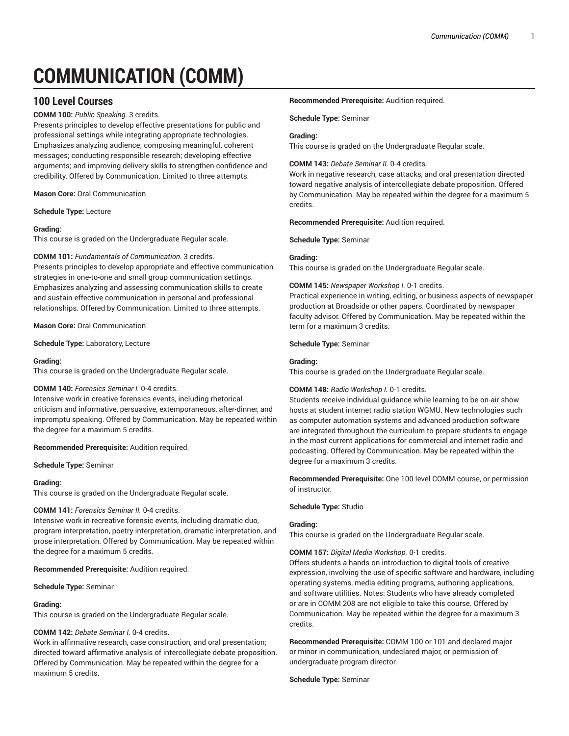# **COMMUNICATION (COMM)**

# **100 Level Courses**

**COMM 100:** *Public Speaking.* 3 credits.

Presents principles to develop effective presentations for public and professional settings while integrating appropriate technologies. Emphasizes analyzing audience; composing meaningful, coherent messages; conducting responsible research; developing effective arguments; and improving delivery skills to strengthen confidence and credibility. Offered by Communication. Limited to three attempts.

**Mason Core:** Oral Communication

**Schedule Type:** Lecture

### **Grading:**

This course is graded on the Undergraduate Regular scale.

### **COMM 101:** *Fundamentals of Communication.* 3 credits.

Presents principles to develop appropriate and effective communication strategies in one-to-one and small group communication settings. Emphasizes analyzing and assessing communication skills to create and sustain effective communication in personal and professional relationships. Offered by Communication. Limited to three attempts.

**Mason Core:** Oral Communication

**Schedule Type:** Laboratory, Lecture

### **Grading:**

This course is graded on the Undergraduate Regular scale.

### **COMM 140:** *Forensics Seminar I.* 0-4 credits.

Intensive work in creative forensics events, including rhetorical criticism and informative, persuasive, extemporaneous, after-dinner, and impromptu speaking. Offered by Communication. May be repeated within the degree for a maximum 5 credits.

**Recommended Prerequisite:** Audition required.

**Schedule Type:** Seminar

### **Grading:**

This course is graded on the Undergraduate Regular scale.

### **COMM 141:** *Forensics Seminar II.* 0-4 credits.

Intensive work in recreative forensic events, including dramatic duo, program interpretation, poetry interpretation, dramatic interpretation, and prose interpretation. Offered by Communication. May be repeated within the degree for a maximum 5 credits.

**Recommended Prerequisite:** Audition required.

**Schedule Type:** Seminar

### **Grading:**

This course is graded on the Undergraduate Regular scale.

### **COMM 142:** *Debate Seminar I.* 0-4 credits.

Work in affirmative research, case construction, and oral presentation; directed toward affirmative analysis of intercollegiate debate proposition. Offered by Communication. May be repeated within the degree for a maximum 5 credits.

### **Recommended Prerequisite:** Audition required.

**Schedule Type:** Seminar

### **Grading:**

This course is graded on the Undergraduate Regular scale.

### **COMM 143:** *Debate Seminar II.* 0-4 credits.

Work in negative research, case attacks, and oral presentation directed toward negative analysis of intercollegiate debate proposition. Offered by Communication. May be repeated within the degree for a maximum 5 credits.

**Recommended Prerequisite:** Audition required.

**Schedule Type:** Seminar

### **Grading:**

This course is graded on the Undergraduate Regular scale.

### **COMM 145:** *Newspaper Workshop I.* 0-1 credits.

Practical experience in writing, editing, or business aspects of newspaper production at Broadside or other papers. Coordinated by newspaper faculty advisor. Offered by Communication. May be repeated within the term for a maximum 3 credits.

### **Schedule Type:** Seminar

### **Grading:**

This course is graded on the Undergraduate Regular scale.

### **COMM 148:** *Radio Workshop I.* 0-1 credits.

Students receive individual guidance while learning to be on-air show hosts at student internet radio station WGMU. New technologies such as computer automation systems and advanced production software are integrated throughout the curriculum to prepare students to engage in the most current applications for commercial and internet radio and podcasting. Offered by Communication. May be repeated within the degree for a maximum 3 credits.

**Recommended Prerequisite:** One 100 level COMM course, or permission of instructor.

### **Schedule Type:** Studio

### **Grading:**

This course is graded on the Undergraduate Regular scale.

**COMM 157:** *Digital Media Workshop.* 0-1 credits.

Offers students a hands-on introduction to digital tools of creative expression, involving the use of specific software and hardware, including operating systems, media editing programs, authoring applications, and software utilities. Notes: Students who have already completed or are in COMM 208 are not eligible to take this course. Offered by Communication. May be repeated within the degree for a maximum 3 credits.

**Recommended Prerequisite:** COMM 100 or 101 and declared major or minor in communication, undeclared major, or permission of undergraduate program director.

**Schedule Type:** Seminar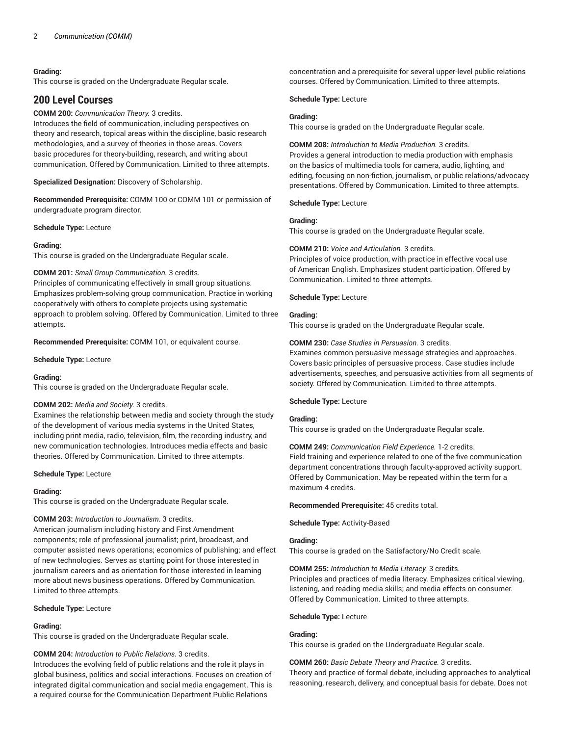This course is graded on the Undergraduate Regular scale.

# **200 Level Courses**

### **COMM 200:** *Communication Theory.* 3 credits.

Introduces the field of communication, including perspectives on theory and research, topical areas within the discipline, basic research methodologies, and a survey of theories in those areas. Covers basic procedures for theory-building, research, and writing about communication. Offered by Communication. Limited to three attempts.

**Specialized Designation:** Discovery of Scholarship.

**Recommended Prerequisite:** COMM 100 or COMM 101 or permission of undergraduate program director.

#### **Schedule Type:** Lecture

### **Grading:**

This course is graded on the Undergraduate Regular scale.

### **COMM 201:** *Small Group Communication.* 3 credits.

Principles of communicating effectively in small group situations. Emphasizes problem-solving group communication. Practice in working cooperatively with others to complete projects using systematic approach to problem solving. Offered by Communication. Limited to three attempts.

**Recommended Prerequisite:** COMM 101, or equivalent course.

**Schedule Type:** Lecture

### **Grading:**

This course is graded on the Undergraduate Regular scale.

### **COMM 202:** *Media and Society.* 3 credits.

Examines the relationship between media and society through the study of the development of various media systems in the United States, including print media, radio, television, film, the recording industry, and new communication technologies. Introduces media effects and basic theories. Offered by Communication. Limited to three attempts.

### **Schedule Type:** Lecture

### **Grading:**

This course is graded on the Undergraduate Regular scale.

### **COMM 203:** *Introduction to Journalism.* 3 credits.

American journalism including history and First Amendment components; role of professional journalist; print, broadcast, and computer assisted news operations; economics of publishing; and effect of new technologies. Serves as starting point for those interested in journalism careers and as orientation for those interested in learning more about news business operations. Offered by Communication. Limited to three attempts.

### **Schedule Type:** Lecture

### **Grading:**

This course is graded on the Undergraduate Regular scale.

### **COMM 204:** *Introduction to Public Relations.* 3 credits.

Introduces the evolving field of public relations and the role it plays in global business, politics and social interactions. Focuses on creation of integrated digital communication and social media engagement. This is a required course for the Communication Department Public Relations

concentration and a prerequisite for several upper-level public relations courses. Offered by Communication. Limited to three attempts.

### **Schedule Type:** Lecture

### **Grading:**

This course is graded on the Undergraduate Regular scale.

**COMM 208:** *Introduction to Media Production.* 3 credits. Provides a general introduction to media production with emphasis on the basics of multimedia tools for camera, audio, lighting, and editing, focusing on non-fiction, journalism, or public relations/advocacy presentations. Offered by Communication. Limited to three attempts.

### **Schedule Type:** Lecture

### **Grading:**

This course is graded on the Undergraduate Regular scale.

### **COMM 210:** *Voice and Articulation.* 3 credits.

Principles of voice production, with practice in effective vocal use of American English. Emphasizes student participation. Offered by Communication. Limited to three attempts.

#### **Schedule Type:** Lecture

### **Grading:**

This course is graded on the Undergraduate Regular scale.

### **COMM 230:** *Case Studies in Persuasion.* 3 credits.

Examines common persuasive message strategies and approaches. Covers basic principles of persuasive process. Case studies include advertisements, speeches, and persuasive activities from all segments of society. Offered by Communication. Limited to three attempts.

### **Schedule Type:** Lecture

#### **Grading:**

This course is graded on the Undergraduate Regular scale.

### **COMM 249:** *Communication Field Experience.* 1-2 credits.

Field training and experience related to one of the five communication department concentrations through faculty-approved activity support. Offered by Communication. May be repeated within the term for a maximum 4 credits.

**Recommended Prerequisite:** 45 credits total.

**Schedule Type:** Activity-Based

### **Grading:**

This course is graded on the Satisfactory/No Credit scale.

### **COMM 255:** *Introduction to Media Literacy.* 3 credits.

Principles and practices of media literacy. Emphasizes critical viewing, listening, and reading media skills; and media effects on consumer. Offered by Communication. Limited to three attempts.

### **Schedule Type:** Lecture

### **Grading:**

This course is graded on the Undergraduate Regular scale.

#### **COMM 260:** *Basic Debate Theory and Practice.* 3 credits.

Theory and practice of formal debate, including approaches to analytical reasoning, research, delivery, and conceptual basis for debate. Does not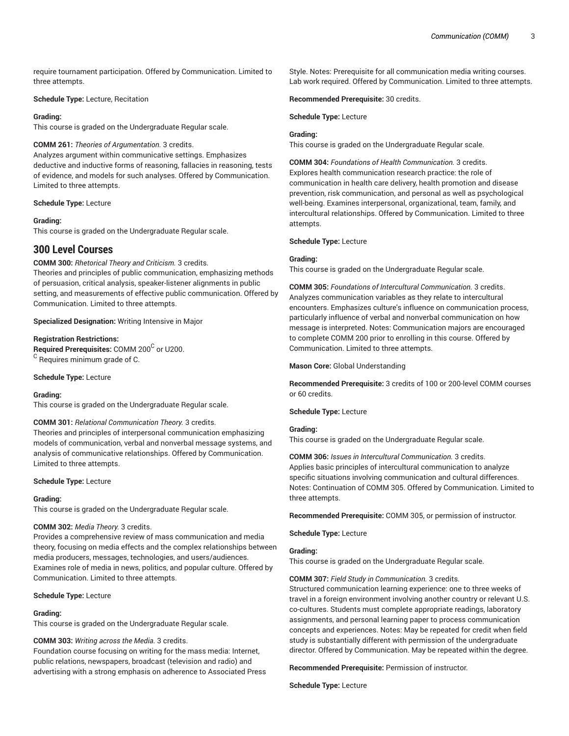require tournament participation. Offered by Communication. Limited to three attempts.

### **Schedule Type:** Lecture, Recitation

#### **Grading:**

This course is graded on the Undergraduate Regular scale.

### **COMM 261:** *Theories of Argumentation.* 3 credits.

Analyzes argument within communicative settings. Emphasizes deductive and inductive forms of reasoning, fallacies in reasoning, tests of evidence, and models for such analyses. Offered by Communication. Limited to three attempts.

#### **Schedule Type:** Lecture

#### **Grading:**

This course is graded on the Undergraduate Regular scale.

# **300 Level Courses**

**COMM 300:** *Rhetorical Theory and Criticism.* 3 credits.

Theories and principles of public communication, emphasizing methods of persuasion, critical analysis, speaker-listener alignments in public setting, and measurements of effective public communication. Offered by Communication. Limited to three attempts.

**Specialized Designation:** Writing Intensive in Major

#### **Registration Restrictions:**

**Required Prerequisites:** COMM 200<sup>C</sup> or U200.  $^{\rm C}$  Requires minimum grade of C.

**Schedule Type:** Lecture

#### **Grading:**

This course is graded on the Undergraduate Regular scale.

### **COMM 301:** *Relational Communication Theory.* 3 credits.

Theories and principles of interpersonal communication emphasizing models of communication, verbal and nonverbal message systems, and analysis of communicative relationships. Offered by Communication. Limited to three attempts.

#### **Schedule Type:** Lecture

#### **Grading:**

This course is graded on the Undergraduate Regular scale.

### **COMM 302:** *Media Theory.* 3 credits.

Provides a comprehensive review of mass communication and media theory, focusing on media effects and the complex relationships between media producers, messages, technologies, and users/audiences. Examines role of media in news, politics, and popular culture. Offered by Communication. Limited to three attempts.

**Schedule Type:** Lecture

### **Grading:**

This course is graded on the Undergraduate Regular scale.

#### **COMM 303:** *Writing across the Media.* 3 credits.

Foundation course focusing on writing for the mass media: Internet, public relations, newspapers, broadcast (television and radio) and advertising with a strong emphasis on adherence to Associated Press

Style. Notes: Prerequisite for all communication media writing courses. Lab work required. Offered by Communication. Limited to three attempts.

**Recommended Prerequisite:** 30 credits.

**Schedule Type:** Lecture

### **Grading:**

This course is graded on the Undergraduate Regular scale.

**COMM 304:** *Foundations of Health Communication.* 3 credits. Explores health communication research practice: the role of communication in health care delivery, health promotion and disease prevention, risk communication, and personal as well as psychological well-being. Examines interpersonal, organizational, team, family, and intercultural relationships. Offered by Communication. Limited to three attempts.

#### **Schedule Type:** Lecture

### **Grading:**

This course is graded on the Undergraduate Regular scale.

**COMM 305:** *Foundations of Intercultural Communication.* 3 credits. Analyzes communication variables as they relate to intercultural encounters. Emphasizes culture's influence on communication process, particularly influence of verbal and nonverbal communication on how message is interpreted. Notes: Communication majors are encouraged to complete COMM 200 prior to enrolling in this course. Offered by Communication. Limited to three attempts.

**Mason Core:** Global Understanding

**Recommended Prerequisite:** 3 credits of 100 or 200-level COMM courses or 60 credits.

**Schedule Type:** Lecture

### **Grading:**

This course is graded on the Undergraduate Regular scale.

**COMM 306:** *Issues in Intercultural Communication.* 3 credits. Applies basic principles of intercultural communication to analyze specific situations involving communication and cultural differences. Notes: Continuation of COMM 305. Offered by Communication. Limited to three attempts.

**Recommended Prerequisite:** COMM 305, or permission of instructor.

**Schedule Type:** Lecture

### **Grading:**

This course is graded on the Undergraduate Regular scale.

**COMM 307:** *Field Study in Communication.* 3 credits.

Structured communication learning experience: one to three weeks of travel in a foreign environment involving another country or relevant U.S. co-cultures. Students must complete appropriate readings, laboratory assignments, and personal learning paper to process communication concepts and experiences. Notes: May be repeated for credit when field study is substantially different with permission of the undergraduate director. Offered by Communication. May be repeated within the degree.

**Recommended Prerequisite:** Permission of instructor.

**Schedule Type:** Lecture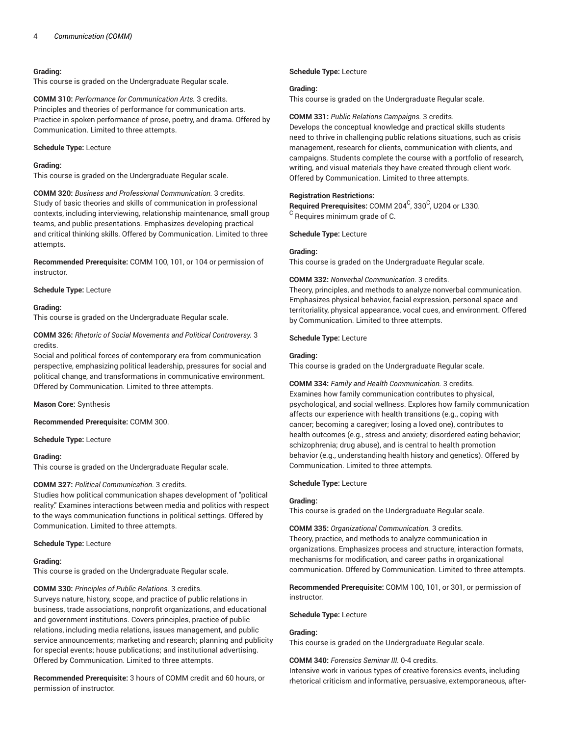This course is graded on the Undergraduate Regular scale.

**COMM 310:** *Performance for Communication Arts.* 3 credits. Principles and theories of performance for communication arts. Practice in spoken performance of prose, poetry, and drama. Offered by Communication. Limited to three attempts.

### **Schedule Type:** Lecture

### **Grading:**

This course is graded on the Undergraduate Regular scale.

**COMM 320:** *Business and Professional Communication.* 3 credits. Study of basic theories and skills of communication in professional contexts, including interviewing, relationship maintenance, small group teams, and public presentations. Emphasizes developing practical and critical thinking skills. Offered by Communication. Limited to three attempts.

**Recommended Prerequisite:** COMM 100, 101, or 104 or permission of instructor.

**Schedule Type:** Lecture

### **Grading:**

This course is graded on the Undergraduate Regular scale.

**COMM 326:** *Rhetoric of Social Movements and Political Controversy.* 3 credits.

Social and political forces of contemporary era from communication perspective, emphasizing political leadership, pressures for social and political change, and transformations in communicative environment. Offered by Communication. Limited to three attempts.

**Mason Core:** Synthesis

**Recommended Prerequisite:** COMM 300.

**Schedule Type:** Lecture

#### **Grading:**

This course is graded on the Undergraduate Regular scale.

### **COMM 327:** *Political Communication.* 3 credits.

Studies how political communication shapes development of "political reality." Examines interactions between media and politics with respect to the ways communication functions in political settings. Offered by Communication. Limited to three attempts.

**Schedule Type:** Lecture

### **Grading:**

This course is graded on the Undergraduate Regular scale.

#### **COMM 330:** *Principles of Public Relations.* 3 credits.

Surveys nature, history, scope, and practice of public relations in business, trade associations, nonprofit organizations, and educational and government institutions. Covers principles, practice of public relations, including media relations, issues management, and public service announcements; marketing and research; planning and publicity for special events; house publications; and institutional advertising. Offered by Communication. Limited to three attempts.

**Recommended Prerequisite:** 3 hours of COMM credit and 60 hours, or permission of instructor.

### **Schedule Type:** Lecture

#### **Grading:**

This course is graded on the Undergraduate Regular scale.

#### **COMM 331:** *Public Relations Campaigns.* 3 credits.

Develops the conceptual knowledge and practical skills students need to thrive in challenging public relations situations, such as crisis management, research for clients, communication with clients, and campaigns. Students complete the course with a portfolio of research, writing, and visual materials they have created through client work. Offered by Communication. Limited to three attempts.

#### **Registration Restrictions:**

Required Prerequisites: COMM 204<sup>C</sup>, 330<sup>C</sup>, U204 or L330.  $\rm ^C$  Requires minimum grade of C.

**Schedule Type:** Lecture

### **Grading:**

This course is graded on the Undergraduate Regular scale.

#### **COMM 332:** *Nonverbal Communication.* 3 credits.

Theory, principles, and methods to analyze nonverbal communication. Emphasizes physical behavior, facial expression, personal space and territoriality, physical appearance, vocal cues, and environment. Offered by Communication. Limited to three attempts.

### **Schedule Type:** Lecture

#### **Grading:**

This course is graded on the Undergraduate Regular scale.

### **COMM 334:** *Family and Health Communication.* 3 credits.

Examines how family communication contributes to physical, psychological, and social wellness. Explores how family communication affects our experience with health transitions (e.g., coping with cancer; becoming a caregiver; losing a loved one), contributes to health outcomes (e.g., stress and anxiety; disordered eating behavior; schizophrenia; drug abuse), and is central to health promotion behavior (e.g., understanding health history and genetics). Offered by Communication. Limited to three attempts.

#### **Schedule Type:** Lecture

#### **Grading:**

This course is graded on the Undergraduate Regular scale.

### **COMM 335:** *Organizational Communication.* 3 credits.

Theory, practice, and methods to analyze communication in organizations. Emphasizes process and structure, interaction formats, mechanisms for modification, and career paths in organizational communication. Offered by Communication. Limited to three attempts.

**Recommended Prerequisite:** COMM 100, 101, or 301, or permission of instructor.

#### **Schedule Type:** Lecture

### **Grading:**

This course is graded on the Undergraduate Regular scale.

### **COMM 340:** *Forensics Seminar III.* 0-4 credits.

Intensive work in various types of creative forensics events, including rhetorical criticism and informative, persuasive, extemporaneous, after-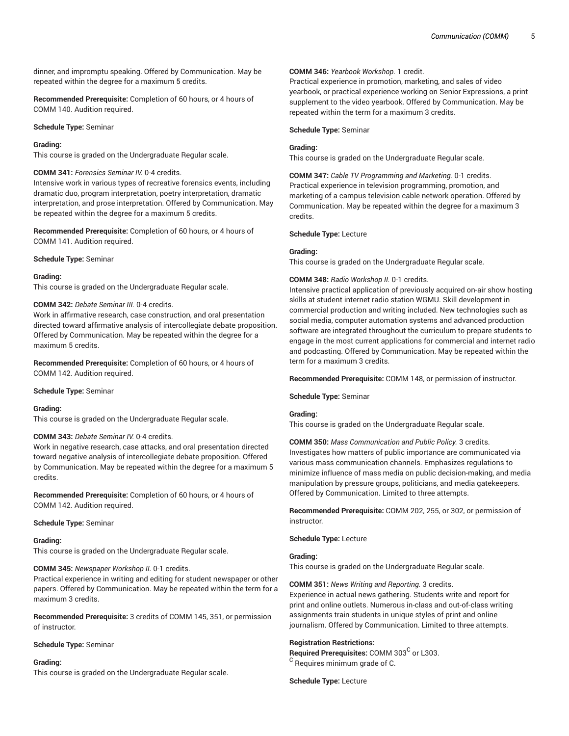dinner, and impromptu speaking. Offered by Communication. May be repeated within the degree for a maximum 5 credits.

**Recommended Prerequisite:** Completion of 60 hours, or 4 hours of COMM 140. Audition required.

**Schedule Type:** Seminar

#### **Grading:**

This course is graded on the Undergraduate Regular scale.

#### **COMM 341:** *Forensics Seminar IV.* 0-4 credits.

Intensive work in various types of recreative forensics events, including dramatic duo, program interpretation, poetry interpretation, dramatic interpretation, and prose interpretation. Offered by Communication. May be repeated within the degree for a maximum 5 credits.

**Recommended Prerequisite:** Completion of 60 hours, or 4 hours of COMM 141. Audition required.

**Schedule Type:** Seminar

#### **Grading:**

This course is graded on the Undergraduate Regular scale.

#### **COMM 342:** *Debate Seminar III.* 0-4 credits.

Work in affirmative research, case construction, and oral presentation directed toward affirmative analysis of intercollegiate debate proposition. Offered by Communication. May be repeated within the degree for a maximum 5 credits.

**Recommended Prerequisite:** Completion of 60 hours, or 4 hours of COMM 142. Audition required.

#### **Schedule Type:** Seminar

#### **Grading:**

This course is graded on the Undergraduate Regular scale.

#### **COMM 343:** *Debate Seminar IV.* 0-4 credits.

Work in negative research, case attacks, and oral presentation directed toward negative analysis of intercollegiate debate proposition. Offered by Communication. May be repeated within the degree for a maximum 5 credits.

**Recommended Prerequisite:** Completion of 60 hours, or 4 hours of COMM 142. Audition required.

#### **Schedule Type:** Seminar

#### **Grading:**

This course is graded on the Undergraduate Regular scale.

### **COMM 345:** *Newspaper Workshop II.* 0-1 credits.

Practical experience in writing and editing for student newspaper or other papers. Offered by Communication. May be repeated within the term for a maximum 3 credits.

**Recommended Prerequisite:** 3 credits of COMM 145, 351, or permission of instructor.

#### **Schedule Type:** Seminar

#### **Grading:**

This course is graded on the Undergraduate Regular scale.

### **COMM 346:** *Yearbook Workshop.* 1 credit.

Practical experience in promotion, marketing, and sales of video yearbook, or practical experience working on Senior Expressions, a print supplement to the video yearbook. Offered by Communication. May be repeated within the term for a maximum 3 credits.

#### **Schedule Type:** Seminar

### **Grading:**

This course is graded on the Undergraduate Regular scale.

**COMM 347:** *Cable TV Programming and Marketing.* 0-1 credits. Practical experience in television programming, promotion, and marketing of a campus television cable network operation. Offered by Communication. May be repeated within the degree for a maximum 3 credits.

#### **Schedule Type:** Lecture

#### **Grading:**

This course is graded on the Undergraduate Regular scale.

#### **COMM 348:** *Radio Workshop II.* 0-1 credits.

Intensive practical application of previously acquired on-air show hosting skills at student internet radio station WGMU. Skill development in commercial production and writing included. New technologies such as social media, computer automation systems and advanced production software are integrated throughout the curriculum to prepare students to engage in the most current applications for commercial and internet radio and podcasting. Offered by Communication. May be repeated within the term for a maximum 3 credits.

**Recommended Prerequisite:** COMM 148, or permission of instructor.

**Schedule Type:** Seminar

### **Grading:**

This course is graded on the Undergraduate Regular scale.

### **COMM 350:** *Mass Communication and Public Policy.* 3 credits. Investigates how matters of public importance are communicated via various mass communication channels. Emphasizes regulations to minimize influence of mass media on public decision-making, and media manipulation by pressure groups, politicians, and media gatekeepers. Offered by Communication. Limited to three attempts.

**Recommended Prerequisite:** COMM 202, 255, or 302, or permission of instructor.

#### **Schedule Type:** Lecture

#### **Grading:**

This course is graded on the Undergraduate Regular scale.

#### **COMM 351:** *News Writing and Reporting.* 3 credits.

Experience in actual news gathering. Students write and report for print and online outlets. Numerous in-class and out-of-class writing assignments train students in unique styles of print and online journalism. Offered by Communication. Limited to three attempts.

### **Registration Restrictions:**

Required Prerequisites: COMM 303<sup>C</sup> or L303.  $^{\rm C}$  Requires minimum grade of C.

**Schedule Type:** Lecture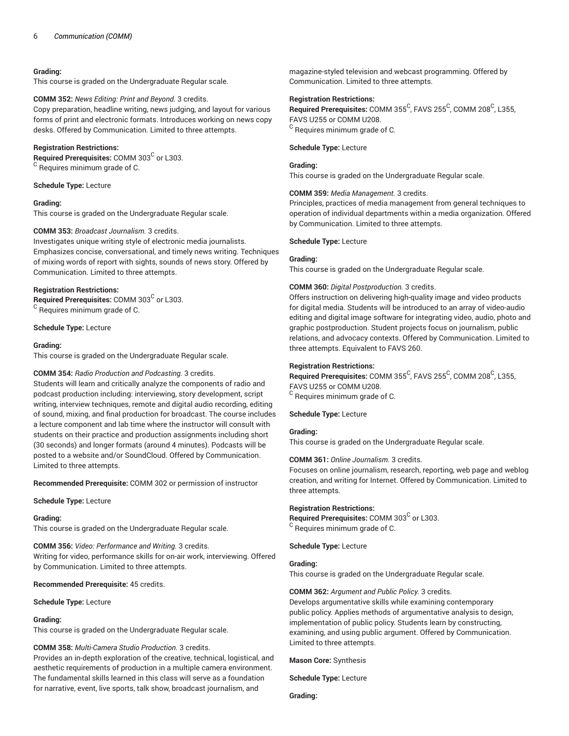This course is graded on the Undergraduate Regular scale.

#### **COMM 352:** *News Editing: Print and Beyond.* 3 credits.

Copy preparation, headline writing, news judging, and layout for various forms of print and electronic formats. Introduces working on news copy desks. Offered by Communication. Limited to three attempts.

### **Registration Restrictions:**

Required Prerequisites: COMM 303<sup>C</sup> or L303.  $^{\rm C}$  Requires minimum grade of C.

**Schedule Type:** Lecture

#### **Grading:**

This course is graded on the Undergraduate Regular scale.

### **COMM 353:** *Broadcast Journalism.* 3 credits.

Investigates unique writing style of electronic media journalists. Emphasizes concise, conversational, and timely news writing. Techniques of mixing words of report with sights, sounds of news story. Offered by Communication. Limited to three attempts.

### **Registration Restrictions:**

Required Prerequisites: COMM 303<sup>C</sup> or L303.  $^{\rm C}$  Requires minimum grade of C.

#### **Schedule Type:** Lecture

#### **Grading:**

This course is graded on the Undergraduate Regular scale.

### **COMM 354:** *Radio Production and Podcasting.* 3 credits.

Students will learn and critically analyze the components of radio and podcast production including: interviewing, story development, script writing, interview techniques, remote and digital audio recording, editing of sound, mixing, and final production for broadcast. The course includes a lecture component and lab time where the instructor will consult with students on their practice and production assignments including short (30 seconds) and longer formats (around 4 minutes). Podcasts will be posted to a website and/or SoundCloud. Offered by Communication. Limited to three attempts.

**Recommended Prerequisite:** COMM 302 or permission of instructor

#### **Schedule Type:** Lecture

#### **Grading:**

This course is graded on the Undergraduate Regular scale.

**COMM 356:** *Video: Performance and Writing.* 3 credits. Writing for video, performance skills for on-air work, interviewing. Offered by Communication. Limited to three attempts.

### **Recommended Prerequisite:** 45 credits.

#### **Schedule Type:** Lecture

### **Grading:**

This course is graded on the Undergraduate Regular scale.

### **COMM 358:** *Multi-Camera Studio Production.* 3 credits.

Provides an in-depth exploration of the creative, technical, logistical, and aesthetic requirements of production in a multiple camera environment. The fundamental skills learned in this class will serve as a foundation for narrative, event, live sports, talk show, broadcast journalism, and

magazine-styled television and webcast programming. Offered by Communication. Limited to three attempts.

### **Registration Restrictions:**

 $\mathsf{\small Required\ Pre}$ rerequisites:  $\mathsf{\small COMM\ 355}^\mathsf{C}$ , <code>FAVS</code> 255 $^\mathsf{C}$ ,  $\mathsf{\small COMM\ 208}^\mathsf{C}$ , <code>L355,</code> FAVS U255 or COMM U208.  $^{\rm C}$  Requires minimum grade of C.

### **Schedule Type:** Lecture

#### **Grading:**

This course is graded on the Undergraduate Regular scale.

#### **COMM 359:** *Media Management.* 3 credits.

Principles, practices of media management from general techniques to operation of individual departments within a media organization. Offered by Communication. Limited to three attempts.

#### **Schedule Type:** Lecture

### **Grading:**

This course is graded on the Undergraduate Regular scale.

#### **COMM 360:** *Digital Postproduction.* 3 credits.

Offers instruction on delivering high-quality image and video products for digital media. Students will be introduced to an array of video-audio editing and digital image software for integrating video, audio, photo and graphic postproduction. Student projects focus on journalism, public relations, and advocacy contexts. Offered by Communication. Limited to three attempts. Equivalent to FAVS 260.

### **Registration Restrictions:**

 $\mathsf{\small Required\ Pre}$ rerequisites:  $\mathsf{\small COMM\ 355}^\mathsf{C}$ , <code>FAVS</code> 255 $^\mathsf{C}$ ,  $\mathsf{\small COMM\ 208}^\mathsf{C}$ , <code>L355,</code> FAVS U255 or COMM U208.

 $^{\rm C}$  Requires minimum grade of C.

### **Schedule Type:** Lecture

### **Grading:**

This course is graded on the Undergraduate Regular scale.

### **COMM 361:** *Online Journalism.* 3 credits.

Focuses on online journalism, research, reporting, web page and weblog creation, and writing for Internet. Offered by Communication. Limited to three attempts.

#### **Registration Restrictions:**

Required Prerequisites: COMM 303<sup>C</sup> or L303.  $\rm ^C$  Requires minimum grade of C.

**Schedule Type:** Lecture

### **Grading:**

This course is graded on the Undergraduate Regular scale.

### **COMM 362:** *Argument and Public Policy.* 3 credits.

Develops argumentative skills while examining contemporary public policy. Applies methods of argumentative analysis to design, implementation of public policy. Students learn by constructing, examining, and using public argument. Offered by Communication. Limited to three attempts.

**Mason Core:** Synthesis

**Schedule Type:** Lecture

**Grading:**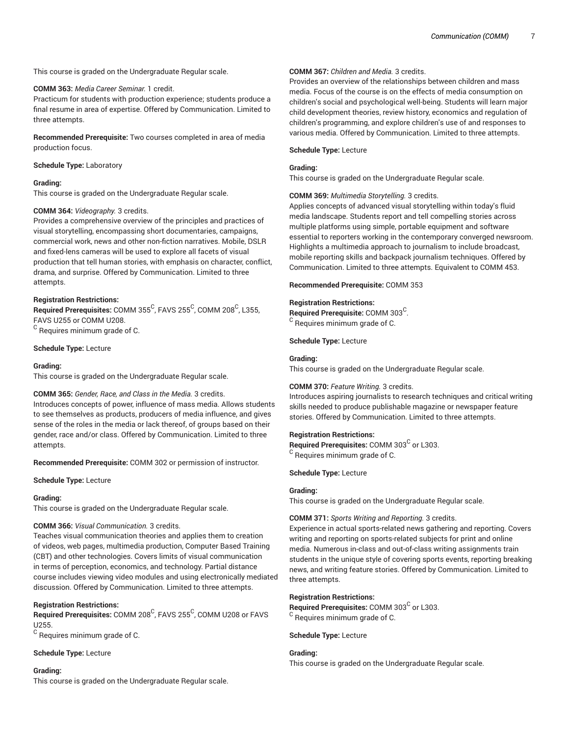This course is graded on the Undergraduate Regular scale.

#### **COMM 363:** *Media Career Seminar.* 1 credit.

Practicum for students with production experience; students produce a final resume in area of expertise. Offered by Communication. Limited to three attempts.

**Recommended Prerequisite:** Two courses completed in area of media production focus.

**Schedule Type:** Laboratory

### **Grading:**

This course is graded on the Undergraduate Regular scale.

### **COMM 364:** *Videography.* 3 credits.

Provides a comprehensive overview of the principles and practices of visual storytelling, encompassing short documentaries, campaigns, commercial work, news and other non-fiction narratives. Mobile, DSLR and fixed-lens cameras will be used to explore all facets of visual production that tell human stories, with emphasis on character, conflict, drama, and surprise. Offered by Communication. Limited to three attempts.

#### **Registration Restrictions:**

 $\mathsf{\small Required\ Pre}$ rerequisites: <code>COMM</code> 355 $^\mathsf{C}$ , FAVS 255 $^\mathsf{C}$ , COMM 208 $^\mathsf{C}$ , L355, FAVS U255 or COMM U208.  $^{\rm C}$  Requires minimum grade of C.

**Schedule Type:** Lecture

#### **Grading:**

This course is graded on the Undergraduate Regular scale.

### **COMM 365:** *Gender, Race, and Class in the Media.* 3 credits.

Introduces concepts of power, influence of mass media. Allows students to see themselves as products, producers of media influence, and gives sense of the roles in the media or lack thereof, of groups based on their gender, race and/or class. Offered by Communication. Limited to three attempts.

**Recommended Prerequisite:** COMM 302 or permission of instructor.

**Schedule Type:** Lecture

#### **Grading:**

This course is graded on the Undergraduate Regular scale.

### **COMM 366:** *Visual Communication.* 3 credits.

Teaches visual communication theories and applies them to creation of videos, web pages, multimedia production, Computer Based Training (CBT) and other technologies. Covers limits of visual communication in terms of perception, economics, and technology. Partial distance course includes viewing video modules and using electronically mediated discussion. Offered by Communication. Limited to three attempts.

#### **Registration Restrictions:**

 $\mathsf{\mathsf{Required}~Prerequires: \mathsf{COMM}~208^\mathsf{C}$ , FAVS  $255^\mathsf{C}$ , COMM U208 or FAVS U255.

 $^{\rm C}$  Requires minimum grade of C.

### **Schedule Type:** Lecture

#### **Grading:**

This course is graded on the Undergraduate Regular scale.

### **COMM 367:** *Children and Media.* 3 credits.

Provides an overview of the relationships between children and mass media. Focus of the course is on the effects of media consumption on children's social and psychological well-being. Students will learn major child development theories, review history, economics and regulation of children's programming, and explore children's use of and responses to various media. Offered by Communication. Limited to three attempts.

### **Schedule Type:** Lecture

### **Grading:**

This course is graded on the Undergraduate Regular scale.

#### **COMM 369:** *Multimedia Storytelling.* 3 credits.

Applies concepts of advanced visual storytelling within today's fluid media landscape. Students report and tell compelling stories across multiple platforms using simple, portable equipment and software essential to reporters working in the contemporary converged newsroom. Highlights a multimedia approach to journalism to include broadcast, mobile reporting skills and backpack journalism techniques. Offered by Communication. Limited to three attempts. Equivalent to COMM 453.

### **Recommended Prerequisite:** COMM 353

#### **Registration Restrictions:**

Required Prerequisite: COMM 303<sup>C</sup>.  $^{\rm C}$  Requires minimum grade of C.

**Schedule Type:** Lecture

### **Grading:**

This course is graded on the Undergraduate Regular scale.

### **COMM 370:** *Feature Writing.* 3 credits.

Introduces aspiring journalists to research techniques and critical writing skills needed to produce publishable magazine or newspaper feature stories. Offered by Communication. Limited to three attempts.

### **Registration Restrictions:**

Required Prerequisites: COMM 303<sup>C</sup> or L303.  $^{\rm C}$  Requires minimum grade of C.

**Schedule Type:** Lecture

### **Grading:**

This course is graded on the Undergraduate Regular scale.

### **COMM 371:** *Sports Writing and Reporting.* 3 credits.

Experience in actual sports-related news gathering and reporting. Covers writing and reporting on sports-related subjects for print and online media. Numerous in-class and out-of-class writing assignments train students in the unique style of covering sports events, reporting breaking news, and writing feature stories. Offered by Communication. Limited to three attempts.

### **Registration Restrictions:**

Required Prerequisites: COMM 303<sup>C</sup> or L303.  $\rm ^C$  Requires minimum grade of C.

#### **Schedule Type:** Lecture

### **Grading:**

This course is graded on the Undergraduate Regular scale.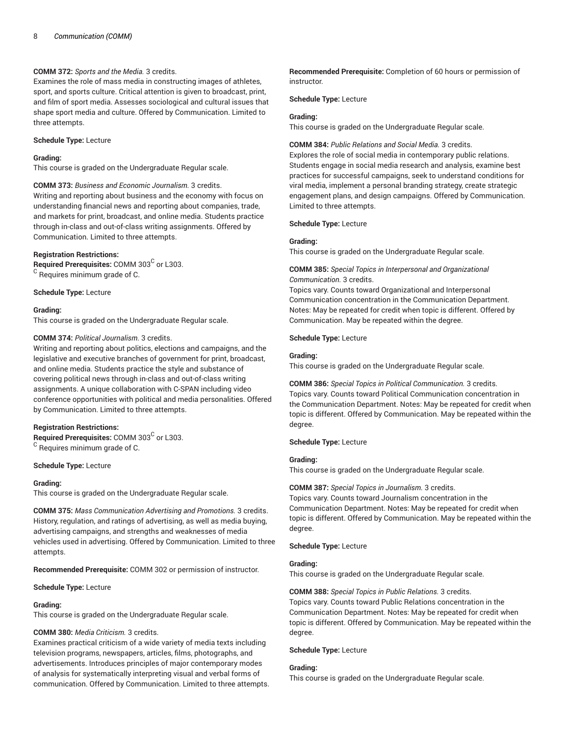### **COMM 372:** *Sports and the Media.* 3 credits.

Examines the role of mass media in constructing images of athletes, sport, and sports culture. Critical attention is given to broadcast, print, and film of sport media. Assesses sociological and cultural issues that shape sport media and culture. Offered by Communication. Limited to three attempts.

### **Schedule Type:** Lecture

### **Grading:**

This course is graded on the Undergraduate Regular scale.

### **COMM 373:** *Business and Economic Journalism.* 3 credits.

Writing and reporting about business and the economy with focus on understanding financial news and reporting about companies, trade, and markets for print, broadcast, and online media. Students practice through in-class and out-of-class writing assignments. Offered by Communication. Limited to three attempts.

### **Registration Restrictions:**

Required Prerequisites: COMM 303<sup>C</sup> or L303.  $\rm ^C$  Requires minimum grade of C.

#### **Schedule Type:** Lecture

#### **Grading:**

This course is graded on the Undergraduate Regular scale.

### **COMM 374:** *Political Journalism.* 3 credits.

Writing and reporting about politics, elections and campaigns, and the legislative and executive branches of government for print, broadcast, and online media. Students practice the style and substance of covering political news through in-class and out-of-class writing assignments. A unique collaboration with C-SPAN including video conference opportunities with political and media personalities. Offered by Communication. Limited to three attempts.

### **Registration Restrictions:**

Required Prerequisites: COMM 303<sup>C</sup> or L303.  $\rm ^C$  Requires minimum grade of C.

#### **Schedule Type:** Lecture

#### **Grading:**

This course is graded on the Undergraduate Regular scale.

**COMM 375:** *Mass Communication Advertising and Promotions.* 3 credits. History, regulation, and ratings of advertising, as well as media buying, advertising campaigns, and strengths and weaknesses of media vehicles used in advertising. Offered by Communication. Limited to three attempts.

**Recommended Prerequisite:** COMM 302 or permission of instructor.

**Schedule Type:** Lecture

### **Grading:**

This course is graded on the Undergraduate Regular scale.

### **COMM 380:** *Media Criticism.* 3 credits.

Examines practical criticism of a wide variety of media texts including television programs, newspapers, articles, films, photographs, and advertisements. Introduces principles of major contemporary modes of analysis for systematically interpreting visual and verbal forms of communication. Offered by Communication. Limited to three attempts.

**Recommended Prerequisite:** Completion of 60 hours or permission of instructor.

**Schedule Type:** Lecture

#### **Grading:**

This course is graded on the Undergraduate Regular scale.

### **COMM 384:** *Public Relations and Social Media.* 3 credits.

Explores the role of social media in contemporary public relations. Students engage in social media research and analysis, examine best practices for successful campaigns, seek to understand conditions for viral media, implement a personal branding strategy, create strategic engagement plans, and design campaigns. Offered by Communication. Limited to three attempts.

**Schedule Type:** Lecture

#### **Grading:**

This course is graded on the Undergraduate Regular scale.

### **COMM 385:** *Special Topics in Interpersonal and Organizational Communication.* 3 credits.

Topics vary. Counts toward Organizational and Interpersonal Communication concentration in the Communication Department. Notes: May be repeated for credit when topic is different. Offered by Communication. May be repeated within the degree.

### **Schedule Type:** Lecture

#### **Grading:**

This course is graded on the Undergraduate Regular scale.

**COMM 386:** *Special Topics in Political Communication.* 3 credits. Topics vary. Counts toward Political Communication concentration in the Communication Department. Notes: May be repeated for credit when topic is different. Offered by Communication. May be repeated within the degree.

### **Schedule Type:** Lecture

### **Grading:**

This course is graded on the Undergraduate Regular scale.

### **COMM 387:** *Special Topics in Journalism.* 3 credits.

Topics vary. Counts toward Journalism concentration in the Communication Department. Notes: May be repeated for credit when topic is different. Offered by Communication. May be repeated within the degree.

### **Schedule Type:** Lecture

### **Grading:**

This course is graded on the Undergraduate Regular scale.

### **COMM 388:** *Special Topics in Public Relations.* 3 credits.

Topics vary. Counts toward Public Relations concentration in the Communication Department. Notes: May be repeated for credit when topic is different. Offered by Communication. May be repeated within the degree.

#### **Schedule Type:** Lecture

#### **Grading:**

This course is graded on the Undergraduate Regular scale.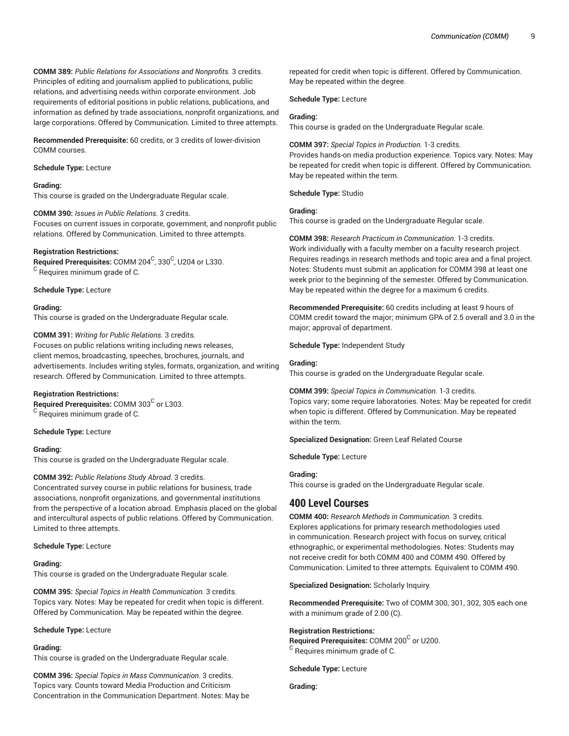**COMM 389:** *Public Relations for Associations and Nonprofits.* 3 credits. Principles of editing and journalism applied to publications, public relations, and advertising needs within corporate environment. Job requirements of editorial positions in public relations, publications, and information as defined by trade associations, nonprofit organizations, and large corporations. Offered by Communication. Limited to three attempts.

**Recommended Prerequisite:** 60 credits, or 3 credits of lower-division COMM courses.

**Schedule Type:** Lecture

#### **Grading:**

This course is graded on the Undergraduate Regular scale.

**COMM 390:** *Issues in Public Relations.* 3 credits. Focuses on current issues in corporate, government, and nonprofit public relations. Offered by Communication. Limited to three attempts.

#### **Registration Restrictions:**

 $\boldsymbol{\mathsf{Required} }$  Prerequisites:  $\boldsymbol{\mathsf{COMM}}$  204 $\boldsymbol{\mathsf{C}}$ , 330 $\boldsymbol{\mathsf{C}}$ , U204 or L330.  $\rm ^C$  Requires minimum grade of C.

**Schedule Type:** Lecture

#### **Grading:**

This course is graded on the Undergraduate Regular scale.

#### **COMM 391:** *Writing for Public Relations.* 3 credits.

Focuses on public relations writing including news releases, client memos, broadcasting, speeches, brochures, journals, and advertisements. Includes writing styles, formats, organization, and writing research. Offered by Communication. Limited to three attempts.

#### **Registration Restrictions:**

Required Prerequisites: COMM 303<sup>C</sup> or L303.  $\rm ^C$  Requires minimum grade of C.

**Schedule Type:** Lecture

#### **Grading:**

This course is graded on the Undergraduate Regular scale.

#### **COMM 392:** *Public Relations Study Abroad.* 3 credits.

Concentrated survey course in public relations for business, trade associations, nonprofit organizations, and governmental institutions from the perspective of a location abroad. Emphasis placed on the global and intercultural aspects of public relations. Offered by Communication. Limited to three attempts.

#### **Schedule Type:** Lecture

#### **Grading:**

This course is graded on the Undergraduate Regular scale.

**COMM 395:** *Special Topics in Health Communication.* 3 credits. Topics vary. Notes: May be repeated for credit when topic is different. Offered by Communication. May be repeated within the degree.

**Schedule Type:** Lecture

#### **Grading:**

This course is graded on the Undergraduate Regular scale.

**COMM 396:** *Special Topics in Mass Communication.* 3 credits. Topics vary. Counts toward Media Production and Criticism Concentration in the Communication Department. Notes: May be repeated for credit when topic is different. Offered by Communication. May be repeated within the degree.

**Schedule Type:** Lecture

#### **Grading:**

This course is graded on the Undergraduate Regular scale.

**COMM 397:** *Special Topics in Production.* 1-3 credits. Provides hands-on media production experience. Topics vary. Notes: May be repeated for credit when topic is different. Offered by Communication. May be repeated within the term.

**Schedule Type:** Studio

#### **Grading:**

This course is graded on the Undergraduate Regular scale.

**COMM 398:** *Research Practicum in Communication.* 1-3 credits. Work individually with a faculty member on a faculty research project.

Requires readings in research methods and topic area and a final project. Notes: Students must submit an application for COMM 398 at least one week prior to the beginning of the semester. Offered by Communication. May be repeated within the degree for a maximum 6 credits.

**Recommended Prerequisite:** 60 credits including at least 9 hours of COMM credit toward the major; minimum GPA of 2.5 overall and 3.0 in the major; approval of department.

**Schedule Type:** Independent Study

#### **Grading:**

This course is graded on the Undergraduate Regular scale.

**COMM 399:** *Special Topics in Communication.* 1-3 credits. Topics vary; some require laboratories. Notes: May be repeated for credit when topic is different. Offered by Communication. May be repeated within the term.

**Specialized Designation:** Green Leaf Related Course

**Schedule Type:** Lecture

### **Grading:**

This course is graded on the Undergraduate Regular scale.

### **400 Level Courses**

**COMM 400:** *Research Methods in Communication.* 3 credits. Explores applications for primary research methodologies used in communication. Research project with focus on survey, critical ethnographic, or experimental methodologies. Notes: Students may not receive credit for both COMM 400 and COMM 490. Offered by Communication. Limited to three attempts. Equivalent to COMM 490.

**Specialized Designation:** Scholarly Inquiry.

**Recommended Prerequisite:** Two of COMM 300, 301, 302, 305 each one with a minimum grade of 2.00 (C).

#### **Registration Restrictions:**

**Required Prerequisites: COMM 200<sup>C</sup> or U200.**  $\rm ^C$  Requires minimum grade of C.

**Schedule Type:** Lecture

**Grading:**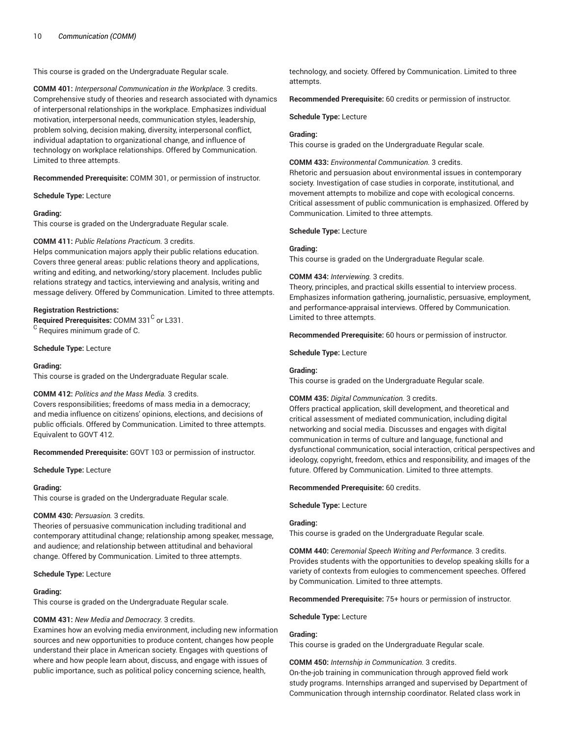This course is graded on the Undergraduate Regular scale.

**COMM 401:** *Interpersonal Communication in the Workplace.* 3 credits. Comprehensive study of theories and research associated with dynamics of interpersonal relationships in the workplace. Emphasizes individual motivation, interpersonal needs, communication styles, leadership, problem solving, decision making, diversity, interpersonal conflict, individual adaptation to organizational change, and influence of technology on workplace relationships. Offered by Communication. Limited to three attempts.

**Recommended Prerequisite:** COMM 301, or permission of instructor.

**Schedule Type:** Lecture

#### **Grading:**

This course is graded on the Undergraduate Regular scale.

#### **COMM 411:** *Public Relations Practicum.* 3 credits.

Helps communication majors apply their public relations education. Covers three general areas: public relations theory and applications, writing and editing, and networking/story placement. Includes public relations strategy and tactics, interviewing and analysis, writing and message delivery. Offered by Communication. Limited to three attempts.

#### **Registration Restrictions:**

Required Prerequisites: COMM 331<sup>C</sup> or L331.  $\rm ^C$  Requires minimum grade of C.

**Schedule Type:** Lecture

#### **Grading:**

This course is graded on the Undergraduate Regular scale.

### **COMM 412:** *Politics and the Mass Media.* 3 credits.

Covers responsibilities; freedoms of mass media in a democracy; and media influence on citizens' opinions, elections, and decisions of public officials. Offered by Communication. Limited to three attempts. Equivalent to GOVT 412.

**Recommended Prerequisite:** GOVT 103 or permission of instructor.

**Schedule Type:** Lecture

#### **Grading:**

This course is graded on the Undergraduate Regular scale.

### **COMM 430:** *Persuasion.* 3 credits.

Theories of persuasive communication including traditional and contemporary attitudinal change; relationship among speaker, message, and audience; and relationship between attitudinal and behavioral change. Offered by Communication. Limited to three attempts.

#### **Schedule Type:** Lecture

#### **Grading:**

This course is graded on the Undergraduate Regular scale.

#### **COMM 431:** *New Media and Democracy.* 3 credits.

Examines how an evolving media environment, including new information sources and new opportunities to produce content, changes how people understand their place in American society. Engages with questions of where and how people learn about, discuss, and engage with issues of public importance, such as political policy concerning science, health,

technology, and society. Offered by Communication. Limited to three attempts.

**Recommended Prerequisite:** 60 credits or permission of instructor.

**Schedule Type:** Lecture

#### **Grading:**

This course is graded on the Undergraduate Regular scale.

### **COMM 433:** *Environmental Communication.* 3 credits.

Rhetoric and persuasion about environmental issues in contemporary society. Investigation of case studies in corporate, institutional, and movement attempts to mobilize and cope with ecological concerns. Critical assessment of public communication is emphasized. Offered by Communication. Limited to three attempts.

#### **Schedule Type:** Lecture

#### **Grading:**

This course is graded on the Undergraduate Regular scale.

#### **COMM 434:** *Interviewing.* 3 credits.

Theory, principles, and practical skills essential to interview process. Emphasizes information gathering, journalistic, persuasive, employment, and performance-appraisal interviews. Offered by Communication. Limited to three attempts.

**Recommended Prerequisite:** 60 hours or permission of instructor.

### **Schedule Type:** Lecture

#### **Grading:**

This course is graded on the Undergraduate Regular scale.

#### **COMM 435:** *Digital Communication.* 3 credits.

Offers practical application, skill development, and theoretical and critical assessment of mediated communication, including digital networking and social media. Discusses and engages with digital communication in terms of culture and language, functional and dysfunctional communication, social interaction, critical perspectives and ideology, copyright, freedom, ethics and responsibility, and images of the future. Offered by Communication. Limited to three attempts.

#### **Recommended Prerequisite:** 60 credits.

**Schedule Type:** Lecture

### **Grading:**

This course is graded on the Undergraduate Regular scale.

**COMM 440:** *Ceremonial Speech Writing and Performance.* 3 credits. Provides students with the opportunities to develop speaking skills for a variety of contexts from eulogies to commencement speeches. Offered by Communication. Limited to three attempts.

**Recommended Prerequisite:** 75+ hours or permission of instructor.

#### **Schedule Type:** Lecture

#### **Grading:**

This course is graded on the Undergraduate Regular scale.

**COMM 450:** *Internship in Communication.* 3 credits. On-the-job training in communication through approved field work

study programs. Internships arranged and supervised by Department of Communication through internship coordinator. Related class work in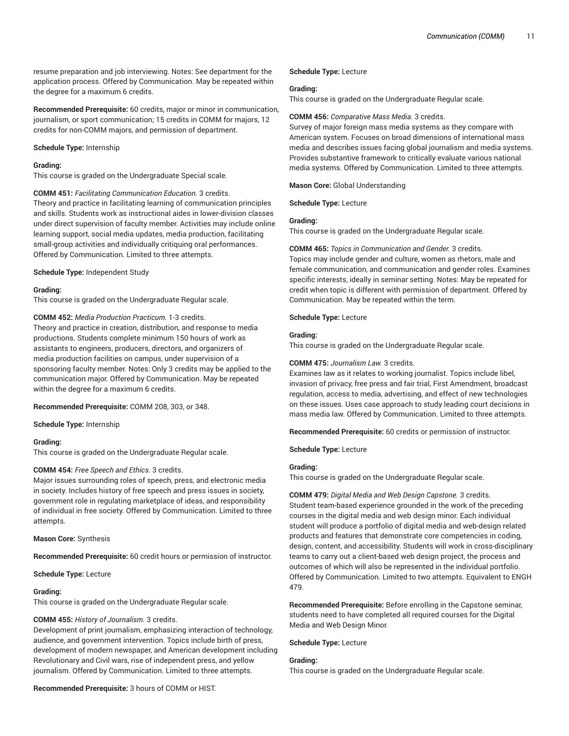resume preparation and job interviewing. Notes: See department for the application process. Offered by Communication. May be repeated within the degree for a maximum 6 credits.

**Recommended Prerequisite:** 60 credits, major or minor in communication, journalism, or sport communication; 15 credits in COMM for majors, 12 credits for non-COMM majors, and permission of department.

#### **Schedule Type:** Internship

#### **Grading:**

This course is graded on the Undergraduate Special scale.

**COMM 451:** *Facilitating Communication Education.* 3 credits. Theory and practice in facilitating learning of communication principles and skills. Students work as instructional aides in lower-division classes under direct supervision of faculty member. Activities may include online learning support, social media updates, media production, facilitating small-group activities and individually critiquing oral performances. Offered by Communication. Limited to three attempts.

#### **Schedule Type:** Independent Study

#### **Grading:**

This course is graded on the Undergraduate Regular scale.

#### **COMM 452:** *Media Production Practicum.* 1-3 credits.

Theory and practice in creation, distribution, and response to media productions. Students complete minimum 150 hours of work as assistants to engineers, producers, directors, and organizers of media production facilities on campus, under supervision of a sponsoring faculty member. Notes: Only 3 credits may be applied to the communication major. Offered by Communication. May be repeated within the degree for a maximum 6 credits.

**Recommended Prerequisite:** COMM 208, 303, or 348.

**Schedule Type:** Internship

#### **Grading:**

This course is graded on the Undergraduate Regular scale.

#### **COMM 454:** *Free Speech and Ethics.* 3 credits.

Major issues surrounding roles of speech, press, and electronic media in society. Includes history of free speech and press issues in society, government role in regulating marketplace of ideas, and responsibility of individual in free society. Offered by Communication. Limited to three attempts.

#### **Mason Core:** Synthesis

**Recommended Prerequisite:** 60 credit hours or permission of instructor.

**Schedule Type:** Lecture

#### **Grading:**

This course is graded on the Undergraduate Regular scale.

### **COMM 455:** *History of Journalism.* 3 credits.

Development of print journalism, emphasizing interaction of technology, audience, and government intervention. Topics include birth of press, development of modern newspaper, and American development including Revolutionary and Civil wars, rise of independent press, and yellow journalism. Offered by Communication. Limited to three attempts.

**Recommended Prerequisite:** 3 hours of COMM or HIST.

#### **Schedule Type:** Lecture

#### **Grading:**

This course is graded on the Undergraduate Regular scale.

### **COMM 456:** *Comparative Mass Media.* 3 credits.

Survey of major foreign mass media systems as they compare with American system. Focuses on broad dimensions of international mass media and describes issues facing global journalism and media systems. Provides substantive framework to critically evaluate various national media systems. Offered by Communication. Limited to three attempts.

**Mason Core:** Global Understanding

**Schedule Type:** Lecture

### **Grading:**

This course is graded on the Undergraduate Regular scale.

#### **COMM 465:** *Topics in Communication and Gender.* 3 credits.

Topics may include gender and culture, women as rhetors, male and female communication, and communication and gender roles. Examines specific interests, ideally in seminar setting. Notes: May be repeated for credit when topic is different with permission of department. Offered by Communication. May be repeated within the term.

#### **Schedule Type:** Lecture

#### **Grading:**

This course is graded on the Undergraduate Regular scale.

#### **COMM 475:** *Journalism Law.* 3 credits.

Examines law as it relates to working journalist. Topics include libel, invasion of privacy, free press and fair trial, First Amendment, broadcast regulation, access to media, advertising, and effect of new technologies on these issues. Uses case approach to study leading court decisions in mass media law. Offered by Communication. Limited to three attempts.

**Recommended Prerequisite:** 60 credits or permission of instructor.

**Schedule Type:** Lecture

#### **Grading:**

This course is graded on the Undergraduate Regular scale.

**COMM 479:** *Digital Media and Web Design Capstone.* 3 credits. Student team-based experience grounded in the work of the preceding courses in the digital media and web design minor. Each individual student will produce a portfolio of digital media and web-design related products and features that demonstrate core competencies in coding, design, content, and accessibility. Students will work in cross-disciplinary teams to carry out a client-based web design project, the process and outcomes of which will also be represented in the individual portfolio. Offered by Communication. Limited to two attempts. Equivalent to ENGH 479.

**Recommended Prerequisite:** Before enrolling in the Capstone seminar, students need to have completed all required courses for the Digital Media and Web Design Minor.

#### **Schedule Type:** Lecture

#### **Grading:**

This course is graded on the Undergraduate Regular scale.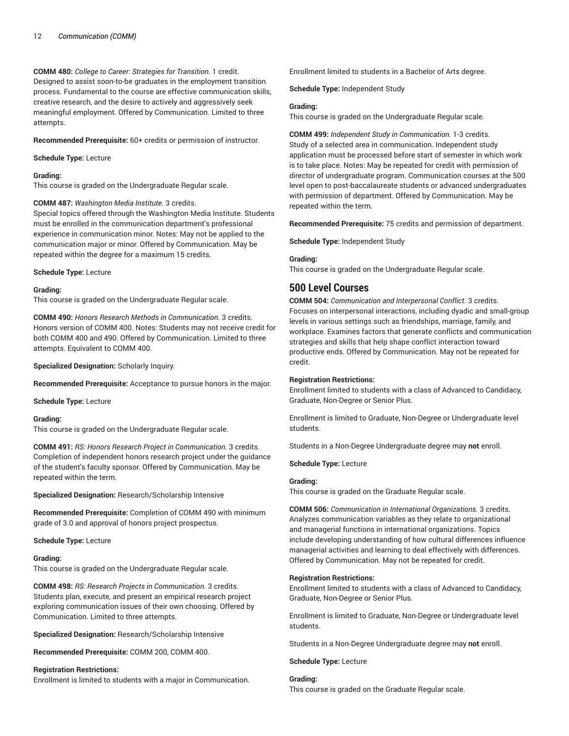**COMM 480:** *College to Career: Strategies for Transition.* 1 credit. Designed to assist soon-to-be graduates in the employment transition process. Fundamental to the course are effective communication skills, creative research, and the desire to actively and aggressively seek meaningful employment. Offered by Communication. Limited to three attempts.

**Recommended Prerequisite:** 60+ credits or permission of instructor.

**Schedule Type:** Lecture

#### **Grading:**

This course is graded on the Undergraduate Regular scale.

**COMM 487:** *Washington Media Institute.* 3 credits.

Special topics offered through the Washington Media Institute. Students must be enrolled in the communication department's professional experience in communication minor. Notes: May not be applied to the communication major or minor. Offered by Communication. May be repeated within the degree for a maximum 15 credits.

**Schedule Type:** Lecture

#### **Grading:**

This course is graded on the Undergraduate Regular scale.

**COMM 490:** *Honors Research Methods in Communication.* 3 credits. Honors version of COMM 400. Notes: Students may not receive credit for both COMM 400 and 490. Offered by Communication. Limited to three attempts. Equivalent to COMM 400.

**Specialized Designation:** Scholarly Inquiry.

**Recommended Prerequisite:** Acceptance to pursue honors in the major.

**Schedule Type:** Lecture

**Grading:**

This course is graded on the Undergraduate Regular scale.

**COMM 491:** *RS: Honors Research Project in Communication.* 3 credits. Completion of independent honors research project under the guidance of the student's faculty sponsor. Offered by Communication. May be repeated within the term.

**Specialized Designation:** Research/Scholarship Intensive

**Recommended Prerequisite:** Completion of COMM 490 with minimum grade of 3.0 and approval of honors project prospectus.

**Schedule Type:** Lecture

### **Grading:**

This course is graded on the Undergraduate Regular scale.

**COMM 498:** *RS: Research Projects in Communication.* 3 credits. Students plan, execute, and present an empirical research project exploring communication issues of their own choosing. Offered by Communication. Limited to three attempts.

**Specialized Designation:** Research/Scholarship Intensive

**Recommended Prerequisite:** COMM 200, COMM 400.

#### **Registration Restrictions:**

Enrollment is limited to students with a major in Communication.

Enrollment limited to students in a Bachelor of Arts degree.

**Schedule Type:** Independent Study

### **Grading:**

This course is graded on the Undergraduate Regular scale.

**COMM 499:** *Independent Study in Communication.* 1-3 credits. Study of a selected area in communication. Independent study application must be processed before start of semester in which work is to take place. Notes: May be repeated for credit with permission of director of undergraduate program. Communication courses at the 500 level open to post-baccalaureate students or advanced undergraduates with permission of department. Offered by Communication. May be repeated within the term.

**Recommended Prerequisite:** 75 credits and permission of department.

**Schedule Type:** Independent Study

### **Grading:**

This course is graded on the Undergraduate Regular scale.

# **500 Level Courses**

**COMM 504:** *Communication and Interpersonal Conflict.* 3 credits. Focuses on interpersonal interactions, including dyadic and small-group levels in various settings such as friendships, marriage, family, and workplace. Examines factors that generate conflicts and communication strategies and skills that help shape conflict interaction toward productive ends. Offered by Communication. May not be repeated for credit.

### **Registration Restrictions:**

Enrollment limited to students with a class of Advanced to Candidacy, Graduate, Non-Degree or Senior Plus.

Enrollment is limited to Graduate, Non-Degree or Undergraduate level students.

Students in a Non-Degree Undergraduate degree may **not** enroll.

**Schedule Type:** Lecture

### **Grading:**

This course is graded on the Graduate Regular scale.

**COMM 506:** *Communication in International Organizations.* 3 credits. Analyzes communication variables as they relate to organizational and managerial functions in international organizations. Topics include developing understanding of how cultural differences influence managerial activities and learning to deal effectively with differences. Offered by Communication. May not be repeated for credit.

### **Registration Restrictions:**

Enrollment limited to students with a class of Advanced to Candidacy, Graduate, Non-Degree or Senior Plus.

Enrollment is limited to Graduate, Non-Degree or Undergraduate level students.

Students in a Non-Degree Undergraduate degree may **not** enroll.

**Schedule Type:** Lecture

### **Grading:**

This course is graded on the Graduate Regular scale.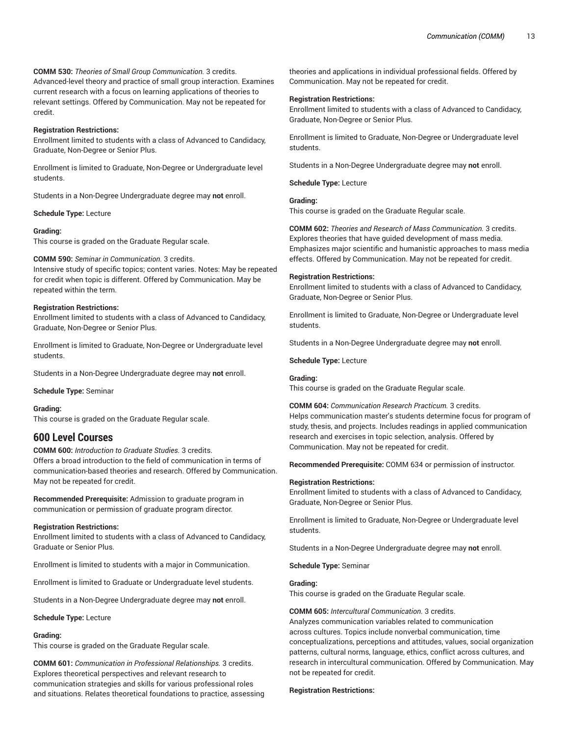**COMM 530:** *Theories of Small Group Communication.* 3 credits. Advanced-level theory and practice of small group interaction. Examines current research with a focus on learning applications of theories to relevant settings. Offered by Communication. May not be repeated for credit.

### **Registration Restrictions:**

Enrollment limited to students with a class of Advanced to Candidacy, Graduate, Non-Degree or Senior Plus.

Enrollment is limited to Graduate, Non-Degree or Undergraduate level students.

Students in a Non-Degree Undergraduate degree may **not** enroll.

**Schedule Type:** Lecture

#### **Grading:**

This course is graded on the Graduate Regular scale.

**COMM 590:** *Seminar in Communication.* 3 credits.

Intensive study of specific topics; content varies. Notes: May be repeated for credit when topic is different. Offered by Communication. May be repeated within the term.

### **Registration Restrictions:**

Enrollment limited to students with a class of Advanced to Candidacy, Graduate, Non-Degree or Senior Plus.

Enrollment is limited to Graduate, Non-Degree or Undergraduate level students.

Students in a Non-Degree Undergraduate degree may **not** enroll.

**Schedule Type:** Seminar

#### **Grading:**

This course is graded on the Graduate Regular scale.

# **600 Level Courses**

**COMM 600:** *Introduction to Graduate Studies.* 3 credits. Offers a broad introduction to the field of communication in terms of communication-based theories and research. Offered by Communication. May not be repeated for credit.

**Recommended Prerequisite:** Admission to graduate program in communication or permission of graduate program director.

### **Registration Restrictions:**

Enrollment limited to students with a class of Advanced to Candidacy, Graduate or Senior Plus.

Enrollment is limited to students with a major in Communication.

Enrollment is limited to Graduate or Undergraduate level students.

Students in a Non-Degree Undergraduate degree may **not** enroll.

#### **Schedule Type:** Lecture

### **Grading:**

This course is graded on the Graduate Regular scale.

**COMM 601:** *Communication in Professional Relationships.* 3 credits. Explores theoretical perspectives and relevant research to communication strategies and skills for various professional roles and situations. Relates theoretical foundations to practice, assessing theories and applications in individual professional fields. Offered by Communication. May not be repeated for credit.

#### **Registration Restrictions:**

Enrollment limited to students with a class of Advanced to Candidacy, Graduate, Non-Degree or Senior Plus.

Enrollment is limited to Graduate, Non-Degree or Undergraduate level students.

Students in a Non-Degree Undergraduate degree may **not** enroll.

**Schedule Type:** Lecture

**Grading:** This course is graded on the Graduate Regular scale.

**COMM 602:** *Theories and Research of Mass Communication.* 3 credits. Explores theories that have guided development of mass media. Emphasizes major scientific and humanistic approaches to mass media effects. Offered by Communication. May not be repeated for credit.

### **Registration Restrictions:**

Enrollment limited to students with a class of Advanced to Candidacy, Graduate, Non-Degree or Senior Plus.

Enrollment is limited to Graduate, Non-Degree or Undergraduate level students.

Students in a Non-Degree Undergraduate degree may **not** enroll.

**Schedule Type:** Lecture

### **Grading:**

This course is graded on the Graduate Regular scale.

### **COMM 604:** *Communication Research Practicum.* 3 credits.

Helps communication master's students determine focus for program of study, thesis, and projects. Includes readings in applied communication research and exercises in topic selection, analysis. Offered by Communication. May not be repeated for credit.

**Recommended Prerequisite:** COMM 634 or permission of instructor.

#### **Registration Restrictions:**

Enrollment limited to students with a class of Advanced to Candidacy, Graduate, Non-Degree or Senior Plus.

Enrollment is limited to Graduate, Non-Degree or Undergraduate level students.

Students in a Non-Degree Undergraduate degree may **not** enroll.

**Schedule Type:** Seminar

# **Grading:**

This course is graded on the Graduate Regular scale.

#### **COMM 605:** *Intercultural Communication.* 3 credits.

Analyzes communication variables related to communication across cultures. Topics include nonverbal communication, time conceptualizations, perceptions and attitudes, values, social organization patterns, cultural norms, language, ethics, conflict across cultures, and research in intercultural communication. Offered by Communication. May not be repeated for credit.

#### **Registration Restrictions:**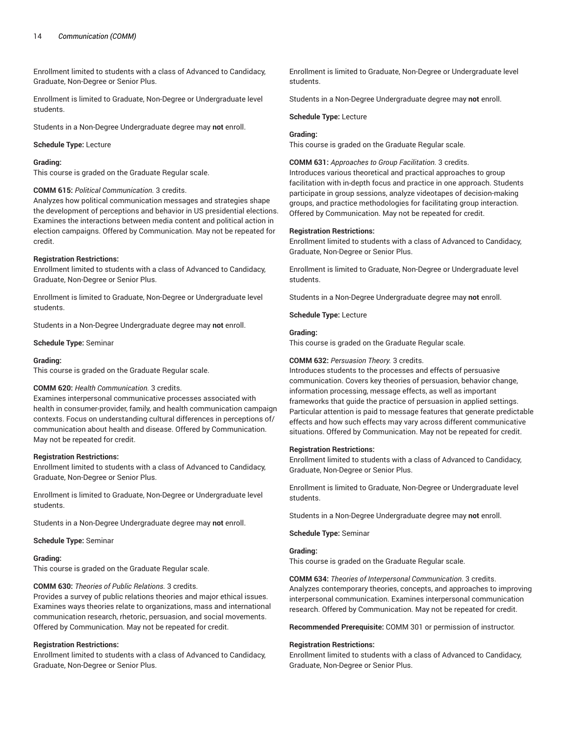Enrollment limited to students with a class of Advanced to Candidacy, Graduate, Non-Degree or Senior Plus.

Enrollment is limited to Graduate, Non-Degree or Undergraduate level students.

Students in a Non-Degree Undergraduate degree may **not** enroll.

#### **Schedule Type:** Lecture

### **Grading:**

This course is graded on the Graduate Regular scale.

#### **COMM 615:** *Political Communication.* 3 credits.

Analyzes how political communication messages and strategies shape the development of perceptions and behavior in US presidential elections. Examines the interactions between media content and political action in election campaigns. Offered by Communication. May not be repeated for credit.

#### **Registration Restrictions:**

Enrollment limited to students with a class of Advanced to Candidacy, Graduate, Non-Degree or Senior Plus.

Enrollment is limited to Graduate, Non-Degree or Undergraduate level students.

Students in a Non-Degree Undergraduate degree may **not** enroll.

**Schedule Type:** Seminar

#### **Grading:**

This course is graded on the Graduate Regular scale.

### **COMM 620:** *Health Communication.* 3 credits.

Examines interpersonal communicative processes associated with health in consumer-provider, family, and health communication campaign contexts. Focus on understanding cultural differences in perceptions of/ communication about health and disease. Offered by Communication. May not be repeated for credit.

#### **Registration Restrictions:**

Enrollment limited to students with a class of Advanced to Candidacy, Graduate, Non-Degree or Senior Plus.

Enrollment is limited to Graduate, Non-Degree or Undergraduate level students.

Students in a Non-Degree Undergraduate degree may **not** enroll.

**Schedule Type:** Seminar

#### **Grading:**

This course is graded on the Graduate Regular scale.

### **COMM 630:** *Theories of Public Relations.* 3 credits.

Provides a survey of public relations theories and major ethical issues. Examines ways theories relate to organizations, mass and international communication research, rhetoric, persuasion, and social movements. Offered by Communication. May not be repeated for credit.

#### **Registration Restrictions:**

Enrollment limited to students with a class of Advanced to Candidacy, Graduate, Non-Degree or Senior Plus.

Enrollment is limited to Graduate, Non-Degree or Undergraduate level students.

Students in a Non-Degree Undergraduate degree may **not** enroll.

#### **Schedule Type:** Lecture

### **Grading:**

This course is graded on the Graduate Regular scale.

### **COMM 631:** *Approaches to Group Facilitation.* 3 credits.

Introduces various theoretical and practical approaches to group facilitation with in-depth focus and practice in one approach. Students participate in group sessions, analyze videotapes of decision-making groups, and practice methodologies for facilitating group interaction. Offered by Communication. May not be repeated for credit.

#### **Registration Restrictions:**

Enrollment limited to students with a class of Advanced to Candidacy, Graduate, Non-Degree or Senior Plus.

Enrollment is limited to Graduate, Non-Degree or Undergraduate level students.

Students in a Non-Degree Undergraduate degree may **not** enroll.

**Schedule Type:** Lecture

#### **Grading:**

This course is graded on the Graduate Regular scale.

#### **COMM 632:** *Persuasion Theory.* 3 credits.

Introduces students to the processes and effects of persuasive communication. Covers key theories of persuasion, behavior change, information processing, message effects, as well as important frameworks that guide the practice of persuasion in applied settings. Particular attention is paid to message features that generate predictable effects and how such effects may vary across different communicative situations. Offered by Communication. May not be repeated for credit.

#### **Registration Restrictions:**

Enrollment limited to students with a class of Advanced to Candidacy, Graduate, Non-Degree or Senior Plus.

Enrollment is limited to Graduate, Non-Degree or Undergraduate level students.

Students in a Non-Degree Undergraduate degree may **not** enroll.

**Schedule Type:** Seminar

# **Grading:**

This course is graded on the Graduate Regular scale.

**COMM 634:** *Theories of Interpersonal Communication.* 3 credits. Analyzes contemporary theories, concepts, and approaches to improving interpersonal communication. Examines interpersonal communication research. Offered by Communication. May not be repeated for credit.

**Recommended Prerequisite:** COMM 301 or permission of instructor.

#### **Registration Restrictions:**

Enrollment limited to students with a class of Advanced to Candidacy, Graduate, Non-Degree or Senior Plus.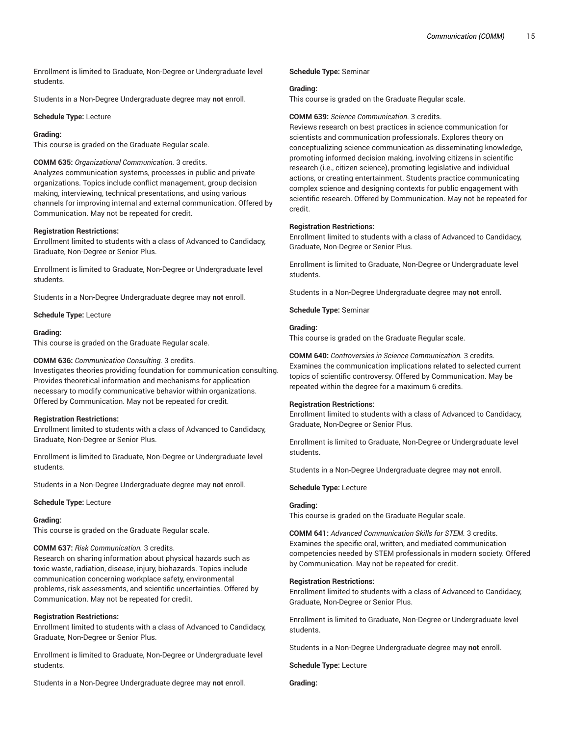Enrollment is limited to Graduate, Non-Degree or Undergraduate level students.

Students in a Non-Degree Undergraduate degree may **not** enroll.

#### **Schedule Type:** Lecture

#### **Grading:**

This course is graded on the Graduate Regular scale.

### **COMM 635:** *Organizational Communication.* 3 credits.

Analyzes communication systems, processes in public and private organizations. Topics include conflict management, group decision making, interviewing, technical presentations, and using various channels for improving internal and external communication. Offered by Communication. May not be repeated for credit.

#### **Registration Restrictions:**

Enrollment limited to students with a class of Advanced to Candidacy, Graduate, Non-Degree or Senior Plus.

Enrollment is limited to Graduate, Non-Degree or Undergraduate level students.

Students in a Non-Degree Undergraduate degree may **not** enroll.

**Schedule Type:** Lecture

#### **Grading:**

This course is graded on the Graduate Regular scale.

#### **COMM 636:** *Communication Consulting.* 3 credits.

Investigates theories providing foundation for communication consulting. Provides theoretical information and mechanisms for application necessary to modify communicative behavior within organizations. Offered by Communication. May not be repeated for credit.

#### **Registration Restrictions:**

Enrollment limited to students with a class of Advanced to Candidacy, Graduate, Non-Degree or Senior Plus.

Enrollment is limited to Graduate, Non-Degree or Undergraduate level students.

Students in a Non-Degree Undergraduate degree may **not** enroll.

**Schedule Type:** Lecture

#### **Grading:**

This course is graded on the Graduate Regular scale.

### **COMM 637:** *Risk Communication.* 3 credits.

Research on sharing information about physical hazards such as toxic waste, radiation, disease, injury, biohazards. Topics include communication concerning workplace safety, environmental problems, risk assessments, and scientific uncertainties. Offered by Communication. May not be repeated for credit.

### **Registration Restrictions:**

Enrollment limited to students with a class of Advanced to Candidacy, Graduate, Non-Degree or Senior Plus.

Enrollment is limited to Graduate, Non-Degree or Undergraduate level students.

Students in a Non-Degree Undergraduate degree may **not** enroll.

### **Schedule Type:** Seminar

#### **Grading:**

This course is graded on the Graduate Regular scale.

#### **COMM 639:** *Science Communication.* 3 credits.

Reviews research on best practices in science communication for scientists and communication professionals. Explores theory on conceptualizing science communication as disseminating knowledge, promoting informed decision making, involving citizens in scientific research (i.e., citizen science), promoting legislative and individual actions, or creating entertainment. Students practice communicating complex science and designing contexts for public engagement with scientific research. Offered by Communication. May not be repeated for credit.

#### **Registration Restrictions:**

Enrollment limited to students with a class of Advanced to Candidacy, Graduate, Non-Degree or Senior Plus.

Enrollment is limited to Graduate, Non-Degree or Undergraduate level students.

Students in a Non-Degree Undergraduate degree may **not** enroll.

**Schedule Type:** Seminar

#### **Grading:**

This course is graded on the Graduate Regular scale.

**COMM 640:** *Controversies in Science Communication.* 3 credits. Examines the communication implications related to selected current topics of scientific controversy. Offered by Communication. May be repeated within the degree for a maximum 6 credits.

#### **Registration Restrictions:**

Enrollment limited to students with a class of Advanced to Candidacy, Graduate, Non-Degree or Senior Plus.

Enrollment is limited to Graduate, Non-Degree or Undergraduate level students.

Students in a Non-Degree Undergraduate degree may **not** enroll.

**Schedule Type:** Lecture

### **Grading:**

This course is graded on the Graduate Regular scale.

**COMM 641:** *Advanced Communication Skills for STEM.* 3 credits. Examines the specific oral, written, and mediated communication competencies needed by STEM professionals in modern society. Offered by Communication. May not be repeated for credit.

### **Registration Restrictions:**

Enrollment limited to students with a class of Advanced to Candidacy, Graduate, Non-Degree or Senior Plus.

Enrollment is limited to Graduate, Non-Degree or Undergraduate level students.

Students in a Non-Degree Undergraduate degree may **not** enroll.

**Schedule Type:** Lecture

**Grading:**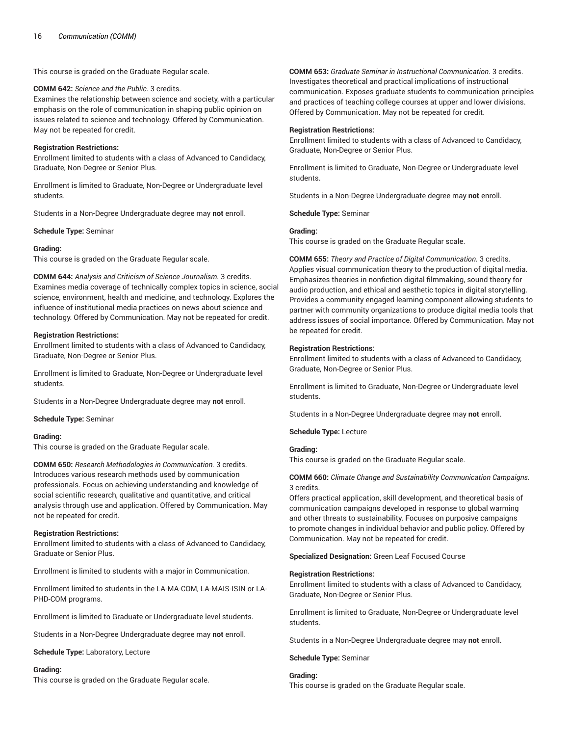This course is graded on the Graduate Regular scale.

#### **COMM 642:** *Science and the Public.* 3 credits.

Examines the relationship between science and society, with a particular emphasis on the role of communication in shaping public opinion on issues related to science and technology. Offered by Communication. May not be repeated for credit.

### **Registration Restrictions:**

Enrollment limited to students with a class of Advanced to Candidacy, Graduate, Non-Degree or Senior Plus.

Enrollment is limited to Graduate, Non-Degree or Undergraduate level students.

Students in a Non-Degree Undergraduate degree may **not** enroll.

#### **Schedule Type:** Seminar

### **Grading:**

This course is graded on the Graduate Regular scale.

**COMM 644:** *Analysis and Criticism of Science Journalism.* 3 credits. Examines media coverage of technically complex topics in science, social science, environment, health and medicine, and technology. Explores the influence of institutional media practices on news about science and technology. Offered by Communication. May not be repeated for credit.

#### **Registration Restrictions:**

Enrollment limited to students with a class of Advanced to Candidacy, Graduate, Non-Degree or Senior Plus.

Enrollment is limited to Graduate, Non-Degree or Undergraduate level students.

Students in a Non-Degree Undergraduate degree may **not** enroll.

**Schedule Type:** Seminar

#### **Grading:**

This course is graded on the Graduate Regular scale.

**COMM 650:** *Research Methodologies in Communication.* 3 credits. Introduces various research methods used by communication professionals. Focus on achieving understanding and knowledge of social scientific research, qualitative and quantitative, and critical analysis through use and application. Offered by Communication. May not be repeated for credit.

#### **Registration Restrictions:**

Enrollment limited to students with a class of Advanced to Candidacy, Graduate or Senior Plus.

Enrollment is limited to students with a major in Communication.

Enrollment limited to students in the LA-MA-COM, LA-MAIS-ISIN or LA-PHD-COM programs.

Enrollment is limited to Graduate or Undergraduate level students.

Students in a Non-Degree Undergraduate degree may **not** enroll.

**Schedule Type:** Laboratory, Lecture

#### **Grading:**

This course is graded on the Graduate Regular scale.

**COMM 653:** *Graduate Seminar in Instructional Communication.* 3 credits. Investigates theoretical and practical implications of instructional communication. Exposes graduate students to communication principles and practices of teaching college courses at upper and lower divisions. Offered by Communication. May not be repeated for credit.

#### **Registration Restrictions:**

Enrollment limited to students with a class of Advanced to Candidacy, Graduate, Non-Degree or Senior Plus.

Enrollment is limited to Graduate, Non-Degree or Undergraduate level students.

Students in a Non-Degree Undergraduate degree may **not** enroll.

**Schedule Type:** Seminar

#### **Grading:**

This course is graded on the Graduate Regular scale.

**COMM 655:** *Theory and Practice of Digital Communication.* 3 credits. Applies visual communication theory to the production of digital media. Emphasizes theories in nonfiction digital filmmaking, sound theory for audio production, and ethical and aesthetic topics in digital storytelling. Provides a community engaged learning component allowing students to partner with community organizations to produce digital media tools that address issues of social importance. Offered by Communication. May not be repeated for credit.

#### **Registration Restrictions:**

Enrollment limited to students with a class of Advanced to Candidacy, Graduate, Non-Degree or Senior Plus.

Enrollment is limited to Graduate, Non-Degree or Undergraduate level students.

Students in a Non-Degree Undergraduate degree may **not** enroll.

#### **Schedule Type:** Lecture

### **Grading:**

This course is graded on the Graduate Regular scale.

### **COMM 660:** *Climate Change and Sustainability Communication Campaigns.* 3 credits.

Offers practical application, skill development, and theoretical basis of communication campaigns developed in response to global warming and other threats to sustainability. Focuses on purposive campaigns to promote changes in individual behavior and public policy. Offered by Communication. May not be repeated for credit.

**Specialized Designation:** Green Leaf Focused Course

#### **Registration Restrictions:**

Enrollment limited to students with a class of Advanced to Candidacy, Graduate, Non-Degree or Senior Plus.

Enrollment is limited to Graduate, Non-Degree or Undergraduate level students.

Students in a Non-Degree Undergraduate degree may **not** enroll.

**Schedule Type:** Seminar

# **Grading:**

This course is graded on the Graduate Regular scale.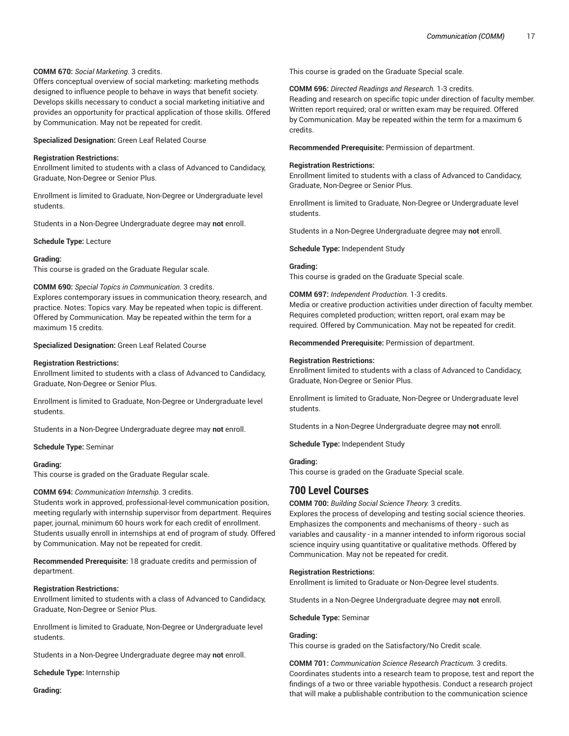### **COMM 670:** *Social Marketing.* 3 credits.

Offers conceptual overview of social marketing: marketing methods designed to influence people to behave in ways that benefit society. Develops skills necessary to conduct a social marketing initiative and provides an opportunity for practical application of those skills. Offered by Communication. May not be repeated for credit.

**Specialized Designation:** Green Leaf Related Course

#### **Registration Restrictions:**

Enrollment limited to students with a class of Advanced to Candidacy, Graduate, Non-Degree or Senior Plus.

Enrollment is limited to Graduate, Non-Degree or Undergraduate level students.

Students in a Non-Degree Undergraduate degree may **not** enroll.

**Schedule Type:** Lecture

#### **Grading:**

This course is graded on the Graduate Regular scale.

### **COMM 690:** *Special Topics in Communication.* 3 credits.

Explores contemporary issues in communication theory, research, and practice. Notes: Topics vary. May be repeated when topic is different. Offered by Communication. May be repeated within the term for a maximum 15 credits.

#### **Specialized Designation:** Green Leaf Related Course

#### **Registration Restrictions:**

Enrollment limited to students with a class of Advanced to Candidacy, Graduate, Non-Degree or Senior Plus.

Enrollment is limited to Graduate, Non-Degree or Undergraduate level students.

Students in a Non-Degree Undergraduate degree may **not** enroll.

**Schedule Type:** Seminar

#### **Grading:**

This course is graded on the Graduate Regular scale.

### **COMM 694:** *Communication Internship.* 3 credits.

Students work in approved, professional-level communication position, meeting regularly with internship supervisor from department. Requires paper, journal, minimum 60 hours work for each credit of enrollment. Students usually enroll in internships at end of program of study. Offered by Communication. May not be repeated for credit.

**Recommended Prerequisite:** 18 graduate credits and permission of department.

### **Registration Restrictions:**

Enrollment limited to students with a class of Advanced to Candidacy, Graduate, Non-Degree or Senior Plus.

Enrollment is limited to Graduate, Non-Degree or Undergraduate level students.

Students in a Non-Degree Undergraduate degree may **not** enroll.

**Schedule Type:** Internship

**Grading:**

This course is graded on the Graduate Special scale.

#### **COMM 696:** *Directed Readings and Research.* 1-3 credits.

Reading and research on specific topic under direction of faculty member. Written report required; oral or written exam may be required. Offered by Communication. May be repeated within the term for a maximum 6 credits.

**Recommended Prerequisite:** Permission of department.

#### **Registration Restrictions:**

Enrollment limited to students with a class of Advanced to Candidacy, Graduate, Non-Degree or Senior Plus.

Enrollment is limited to Graduate, Non-Degree or Undergraduate level students.

Students in a Non-Degree Undergraduate degree may **not** enroll.

**Schedule Type:** Independent Study

### **Grading:**

This course is graded on the Graduate Special scale.

#### **COMM 697:** *Independent Production.* 1-3 credits.

Media or creative production activities under direction of faculty member. Requires completed production; written report, oral exam may be required. Offered by Communication. May not be repeated for credit.

**Recommended Prerequisite:** Permission of department.

#### **Registration Restrictions:**

Enrollment limited to students with a class of Advanced to Candidacy, Graduate, Non-Degree or Senior Plus.

Enrollment is limited to Graduate, Non-Degree or Undergraduate level students.

Students in a Non-Degree Undergraduate degree may **not** enroll.

**Schedule Type:** Independent Study

### **Grading:**

This course is graded on the Graduate Special scale.

# **700 Level Courses**

**COMM 700:** *Building Social Science Theory.* 3 credits.

Explores the process of developing and testing social science theories. Emphasizes the components and mechanisms of theory - such as variables and causality - in a manner intended to inform rigorous social science inquiry using quantitative or qualitative methods. Offered by Communication. May not be repeated for credit.

### **Registration Restrictions:**

Enrollment is limited to Graduate or Non-Degree level students.

Students in a Non-Degree Undergraduate degree may **not** enroll.

#### **Schedule Type:** Seminar

#### **Grading:**

This course is graded on the Satisfactory/No Credit scale.

**COMM 701:** *Communication Science Research Practicum.* 3 credits. Coordinates students into a research team to propose, test and report the findings of a two or three variable hypothesis. Conduct a research project that will make a publishable contribution to the communication science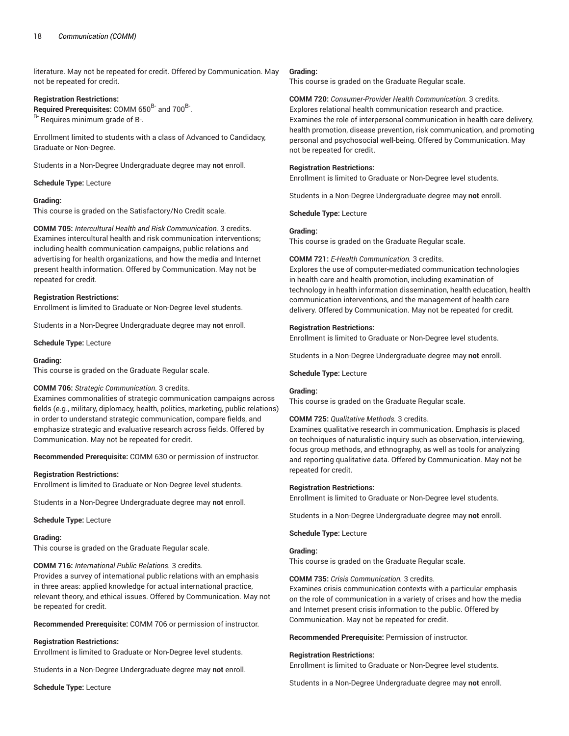literature. May not be repeated for credit. Offered by Communication. May not be repeated for credit.

#### **Registration Restrictions:**

Required Prerequisites: COMM 650<sup>B-</sup> and 700<sup>B-</sup>. B- Requires minimum grade of B-.

Enrollment limited to students with a class of Advanced to Candidacy, Graduate or Non-Degree.

Students in a Non-Degree Undergraduate degree may **not** enroll.

### **Schedule Type:** Lecture

### **Grading:**

This course is graded on the Satisfactory/No Credit scale.

**COMM 705:** *Intercultural Health and Risk Communication.* 3 credits. Examines intercultural health and risk communication interventions; including health communication campaigns, public relations and advertising for health organizations, and how the media and Internet present health information. Offered by Communication. May not be repeated for credit.

#### **Registration Restrictions:**

Enrollment is limited to Graduate or Non-Degree level students.

Students in a Non-Degree Undergraduate degree may **not** enroll.

**Schedule Type:** Lecture

#### **Grading:**

This course is graded on the Graduate Regular scale.

#### **COMM 706:** *Strategic Communication.* 3 credits.

Examines commonalities of strategic communication campaigns across fields (e.g., military, diplomacy, health, politics, marketing, public relations) in order to understand strategic communication, compare fields, and emphasize strategic and evaluative research across fields. Offered by Communication. May not be repeated for credit.

**Recommended Prerequisite:** COMM 630 or permission of instructor.

#### **Registration Restrictions:**

Enrollment is limited to Graduate or Non-Degree level students.

Students in a Non-Degree Undergraduate degree may **not** enroll.

#### **Schedule Type:** Lecture

#### **Grading:**

This course is graded on the Graduate Regular scale.

#### **COMM 716:** *International Public Relations.* 3 credits.

Provides a survey of international public relations with an emphasis in three areas: applied knowledge for actual international practice, relevant theory, and ethical issues. Offered by Communication. May not be repeated for credit.

**Recommended Prerequisite:** COMM 706 or permission of instructor.

#### **Registration Restrictions:**

Enrollment is limited to Graduate or Non-Degree level students.

Students in a Non-Degree Undergraduate degree may **not** enroll.

**Schedule Type:** Lecture

#### **Grading:**

This course is graded on the Graduate Regular scale.

**COMM 720:** *Consumer-Provider Health Communication.* 3 credits. Explores relational health communication research and practice. Examines the role of interpersonal communication in health care delivery, health promotion, disease prevention, risk communication, and promoting personal and psychosocial well-being. Offered by Communication. May not be repeated for credit.

#### **Registration Restrictions:**

Enrollment is limited to Graduate or Non-Degree level students.

Students in a Non-Degree Undergraduate degree may **not** enroll.

**Schedule Type:** Lecture

#### **Grading:**

This course is graded on the Graduate Regular scale.

### **COMM 721:** *E-Health Communication.* 3 credits.

Explores the use of computer-mediated communication technologies in health care and health promotion, including examination of technology in health information dissemination, health education, health communication interventions, and the management of health care delivery. Offered by Communication. May not be repeated for credit.

#### **Registration Restrictions:**

Enrollment is limited to Graduate or Non-Degree level students.

Students in a Non-Degree Undergraduate degree may **not** enroll.

#### **Schedule Type:** Lecture

#### **Grading:**

This course is graded on the Graduate Regular scale.

#### **COMM 725:** *Qualitative Methods.* 3 credits.

Examines qualitative research in communication. Emphasis is placed on techniques of naturalistic inquiry such as observation, interviewing, focus group methods, and ethnography, as well as tools for analyzing and reporting qualitative data. Offered by Communication. May not be repeated for credit.

#### **Registration Restrictions:**

Enrollment is limited to Graduate or Non-Degree level students.

Students in a Non-Degree Undergraduate degree may **not** enroll.

**Schedule Type:** Lecture

### **Grading:**

This course is graded on the Graduate Regular scale.

**COMM 735:** *Crisis Communication.* 3 credits.

Examines crisis communication contexts with a particular emphasis on the role of communication in a variety of crises and how the media and Internet present crisis information to the public. Offered by Communication. May not be repeated for credit.

**Recommended Prerequisite:** Permission of instructor.

#### **Registration Restrictions:**

Enrollment is limited to Graduate or Non-Degree level students.

Students in a Non-Degree Undergraduate degree may **not** enroll.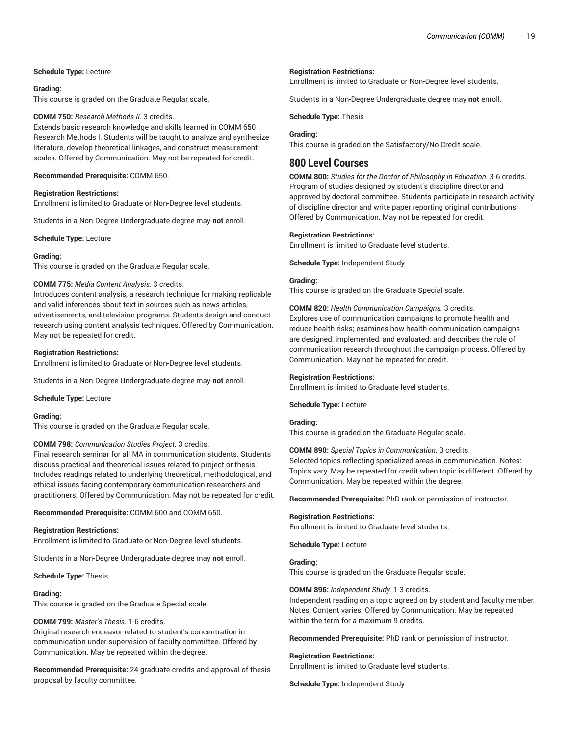### **Schedule Type:** Lecture

### **Grading:**

This course is graded on the Graduate Regular scale.

### **COMM 750:** *Research Methods II.* 3 credits.

Extends basic research knowledge and skills learned in COMM 650 Research Methods I. Students will be taught to analyze and synthesize literature, develop theoretical linkages, and construct measurement scales. Offered by Communication. May not be repeated for credit.

### **Recommended Prerequisite:** COMM 650.

### **Registration Restrictions:**

Enrollment is limited to Graduate or Non-Degree level students.

Students in a Non-Degree Undergraduate degree may **not** enroll.

**Schedule Type:** Lecture

### **Grading:**

This course is graded on the Graduate Regular scale.

### **COMM 775:** *Media Content Analysis.* 3 credits.

Introduces content analysis, a research technique for making replicable and valid inferences about text in sources such as news articles, advertisements, and television programs. Students design and conduct research using content analysis techniques. Offered by Communication. May not be repeated for credit.

### **Registration Restrictions:**

Enrollment is limited to Graduate or Non-Degree level students.

Students in a Non-Degree Undergraduate degree may **not** enroll.

#### **Schedule Type:** Lecture

#### **Grading:**

This course is graded on the Graduate Regular scale.

### **COMM 798:** *Communication Studies Project.* 3 credits.

Final research seminar for all MA in communication students. Students discuss practical and theoretical issues related to project or thesis. Includes readings related to underlying theoretical, methodological, and ethical issues facing contemporary communication researchers and practitioners. Offered by Communication. May not be repeated for credit.

**Recommended Prerequisite:** COMM 600 and COMM 650.

### **Registration Restrictions:**

Enrollment is limited to Graduate or Non-Degree level students.

Students in a Non-Degree Undergraduate degree may **not** enroll.

**Schedule Type:** Thesis

#### **Grading:**

This course is graded on the Graduate Special scale.

### **COMM 799:** *Master's Thesis.* 1-6 credits.

Original research endeavor related to student's concentration in communication under supervision of faculty committee. Offered by Communication. May be repeated within the degree.

**Recommended Prerequisite:** 24 graduate credits and approval of thesis proposal by faculty committee.

#### **Registration Restrictions:**

Enrollment is limited to Graduate or Non-Degree level students.

Students in a Non-Degree Undergraduate degree may **not** enroll.

**Schedule Type:** Thesis

### **Grading:**

This course is graded on the Satisfactory/No Credit scale.

# **800 Level Courses**

**COMM 800:** *Studies for the Doctor of Philosophy in Education.* 3-6 credits. Program of studies designed by student's discipline director and approved by doctoral committee. Students participate in research activity of discipline director and write paper reporting original contributions. Offered by Communication. May not be repeated for credit.

### **Registration Restrictions:**

Enrollment is limited to Graduate level students.

**Schedule Type:** Independent Study

### **Grading:**

This course is graded on the Graduate Special scale.

### **COMM 820:** *Health Communication Campaigns.* 3 credits.

Explores use of communication campaigns to promote health and reduce health risks; examines how health communication campaigns are designed, implemented, and evaluated; and describes the role of communication research throughout the campaign process. Offered by Communication. May not be repeated for credit.

### **Registration Restrictions:**

Enrollment is limited to Graduate level students.

#### **Schedule Type:** Lecture

#### **Grading:**

This course is graded on the Graduate Regular scale.

### **COMM 890:** *Special Topics in Communication.* 3 credits.

Selected topics reflecting specialized areas in communication. Notes: Topics vary. May be repeated for credit when topic is different. Offered by Communication. May be repeated within the degree.

**Recommended Prerequisite:** PhD rank or permission of instructor.

#### **Registration Restrictions:**

Enrollment is limited to Graduate level students.

**Schedule Type:** Lecture

### **Grading:**

This course is graded on the Graduate Regular scale.

### **COMM 896:** *Independent Study.* 1-3 credits.

Independent reading on a topic agreed on by student and faculty member. Notes: Content varies. Offered by Communication. May be repeated within the term for a maximum 9 credits.

**Recommended Prerequisite:** PhD rank or permission of instructor.

#### **Registration Restrictions:**

Enrollment is limited to Graduate level students.

**Schedule Type:** Independent Study